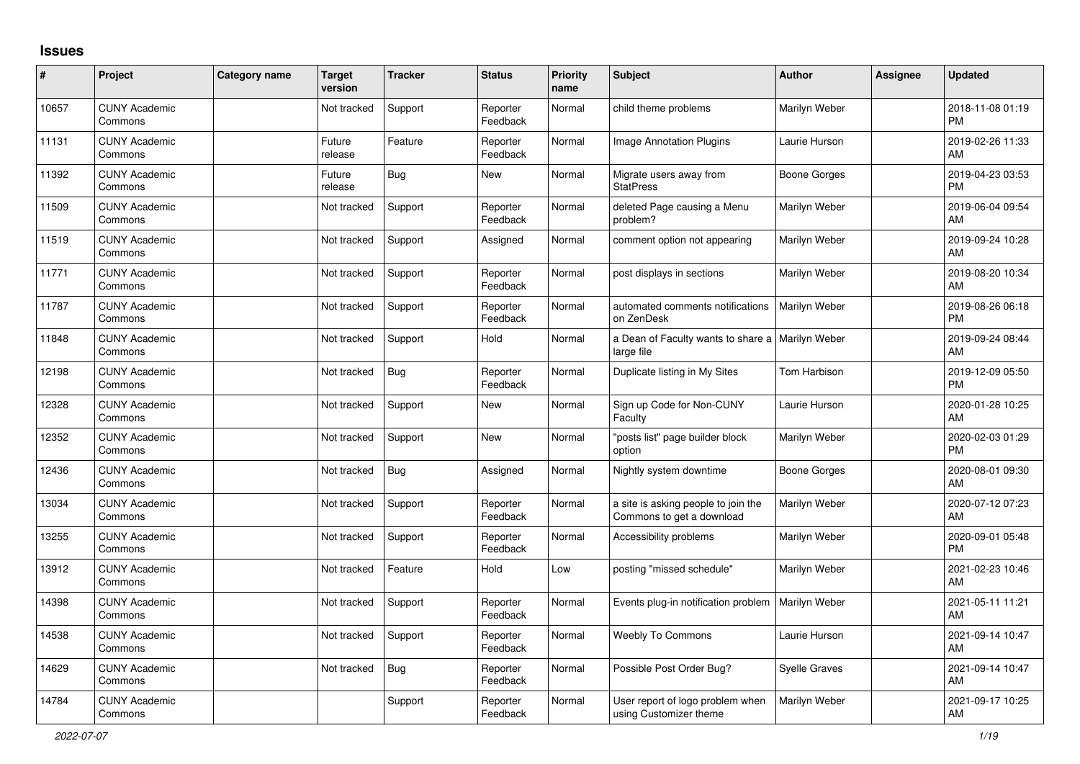## **Issues**

| #     | Project                         | Category name | Target<br>version | <b>Tracker</b> | <b>Status</b>        | <b>Priority</b><br>name | Subject                                                          | Author               | Assignee | <b>Updated</b>                |
|-------|---------------------------------|---------------|-------------------|----------------|----------------------|-------------------------|------------------------------------------------------------------|----------------------|----------|-------------------------------|
| 10657 | <b>CUNY Academic</b><br>Commons |               | Not tracked       | Support        | Reporter<br>Feedback | Normal                  | child theme problems                                             | Marilyn Weber        |          | 2018-11-08 01:19<br><b>PM</b> |
| 11131 | <b>CUNY Academic</b><br>Commons |               | Future<br>release | Feature        | Reporter<br>Feedback | Normal                  | Image Annotation Plugins                                         | Laurie Hurson        |          | 2019-02-26 11:33<br>AM        |
| 11392 | <b>CUNY Academic</b><br>Commons |               | Future<br>release | Bug            | New                  | Normal                  | Migrate users away from<br><b>StatPress</b>                      | Boone Gorges         |          | 2019-04-23 03:53<br><b>PM</b> |
| 11509 | <b>CUNY Academic</b><br>Commons |               | Not tracked       | Support        | Reporter<br>Feedback | Normal                  | deleted Page causing a Menu<br>problem?                          | Marilyn Weber        |          | 2019-06-04 09:54<br>AM        |
| 11519 | <b>CUNY Academic</b><br>Commons |               | Not tracked       | Support        | Assigned             | Normal                  | comment option not appearing                                     | Marilyn Weber        |          | 2019-09-24 10:28<br>AM        |
| 11771 | <b>CUNY Academic</b><br>Commons |               | Not tracked       | Support        | Reporter<br>Feedback | Normal                  | post displays in sections                                        | Marilyn Weber        |          | 2019-08-20 10:34<br>AM        |
| 11787 | <b>CUNY Academic</b><br>Commons |               | Not tracked       | Support        | Reporter<br>Feedback | Normal                  | automated comments notifications<br>on ZenDesk                   | Marilyn Weber        |          | 2019-08-26 06:18<br><b>PM</b> |
| 11848 | <b>CUNY Academic</b><br>Commons |               | Not tracked       | Support        | Hold                 | Normal                  | a Dean of Faculty wants to share a   Marilyn Weber<br>large file |                      |          | 2019-09-24 08:44<br>AM        |
| 12198 | <b>CUNY Academic</b><br>Commons |               | Not tracked       | Bug            | Reporter<br>Feedback | Normal                  | Duplicate listing in My Sites                                    | Tom Harbison         |          | 2019-12-09 05:50<br><b>PM</b> |
| 12328 | <b>CUNY Academic</b><br>Commons |               | Not tracked       | Support        | <b>New</b>           | Normal                  | Sign up Code for Non-CUNY<br>Faculty                             | Laurie Hurson        |          | 2020-01-28 10:25<br>AM        |
| 12352 | <b>CUNY Academic</b><br>Commons |               | Not tracked       | Support        | <b>New</b>           | Normal                  | "posts list" page builder block<br>option                        | Marilyn Weber        |          | 2020-02-03 01:29<br><b>PM</b> |
| 12436 | <b>CUNY Academic</b><br>Commons |               | Not tracked       | Bug            | Assigned             | Normal                  | Nightly system downtime                                          | Boone Gorges         |          | 2020-08-01 09:30<br>AM        |
| 13034 | <b>CUNY Academic</b><br>Commons |               | Not tracked       | Support        | Reporter<br>Feedback | Normal                  | a site is asking people to join the<br>Commons to get a download | Marilyn Weber        |          | 2020-07-12 07:23<br>AM        |
| 13255 | <b>CUNY Academic</b><br>Commons |               | Not tracked       | Support        | Reporter<br>Feedback | Normal                  | Accessibility problems                                           | Marilyn Weber        |          | 2020-09-01 05:48<br><b>PM</b> |
| 13912 | <b>CUNY Academic</b><br>Commons |               | Not tracked       | Feature        | Hold                 | Low                     | posting "missed schedule"                                        | Marilyn Weber        |          | 2021-02-23 10:46<br>AM        |
| 14398 | <b>CUNY Academic</b><br>Commons |               | Not tracked       | Support        | Reporter<br>Feedback | Normal                  | Events plug-in notification problem                              | Marilyn Weber        |          | 2021-05-11 11:21<br>AM        |
| 14538 | <b>CUNY Academic</b><br>Commons |               | Not tracked       | Support        | Reporter<br>Feedback | Normal                  | <b>Weebly To Commons</b>                                         | Laurie Hurson        |          | 2021-09-14 10:47<br>AM        |
| 14629 | <b>CUNY Academic</b><br>Commons |               | Not tracked       | Bug            | Reporter<br>Feedback | Normal                  | Possible Post Order Bug?                                         | <b>Syelle Graves</b> |          | 2021-09-14 10:47<br>AM        |
| 14784 | <b>CUNY Academic</b><br>Commons |               |                   | Support        | Reporter<br>Feedback | Normal                  | User report of logo problem when<br>using Customizer theme       | Marilyn Weber        |          | 2021-09-17 10:25<br>AM        |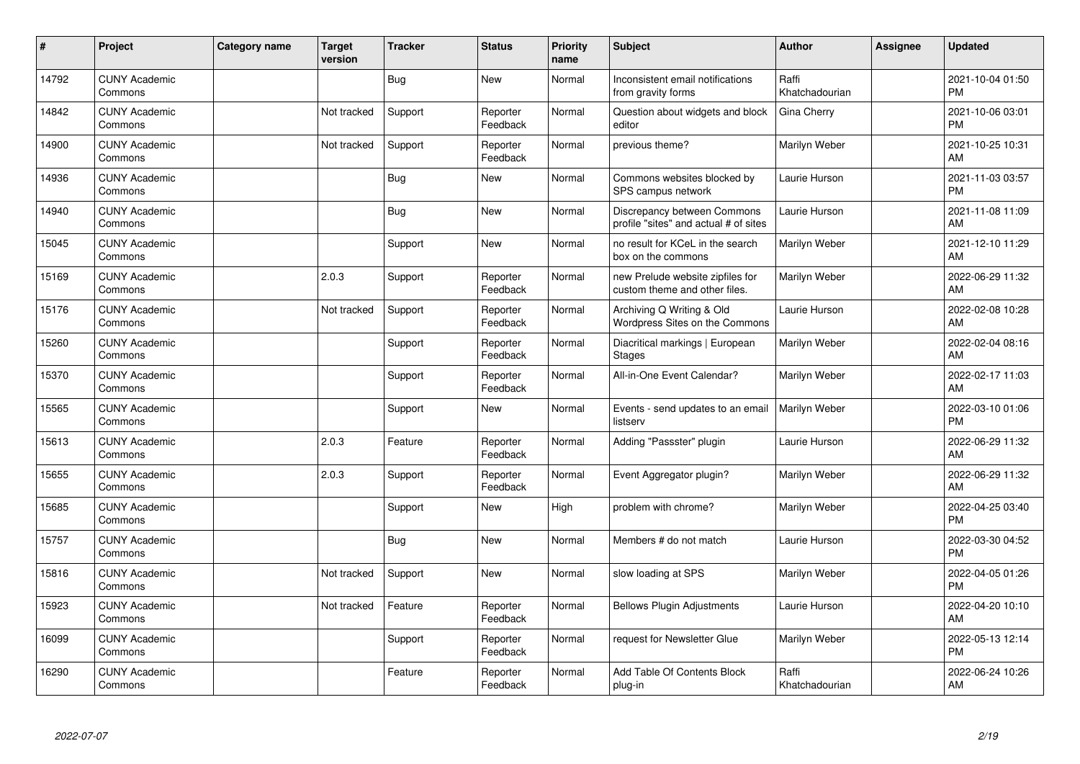| ∦     | Project                         | <b>Category name</b> | <b>Target</b><br>version | <b>Tracker</b> | <b>Status</b>        | <b>Priority</b><br>name | Subject                                                              | <b>Author</b>           | <b>Assignee</b> | <b>Updated</b>                |
|-------|---------------------------------|----------------------|--------------------------|----------------|----------------------|-------------------------|----------------------------------------------------------------------|-------------------------|-----------------|-------------------------------|
| 14792 | <b>CUNY Academic</b><br>Commons |                      |                          | <b>Bug</b>     | <b>New</b>           | Normal                  | Inconsistent email notifications<br>from gravity forms               | Raffi<br>Khatchadourian |                 | 2021-10-04 01:50<br><b>PM</b> |
| 14842 | <b>CUNY Academic</b><br>Commons |                      | Not tracked              | Support        | Reporter<br>Feedback | Normal                  | Question about widgets and block<br>editor                           | Gina Cherry             |                 | 2021-10-06 03:01<br><b>PM</b> |
| 14900 | <b>CUNY Academic</b><br>Commons |                      | Not tracked              | Support        | Reporter<br>Feedback | Normal                  | previous theme?                                                      | Marilyn Weber           |                 | 2021-10-25 10:31<br>AM        |
| 14936 | <b>CUNY Academic</b><br>Commons |                      |                          | <b>Bug</b>     | <b>New</b>           | Normal                  | Commons websites blocked by<br>SPS campus network                    | Laurie Hurson           |                 | 2021-11-03 03:57<br><b>PM</b> |
| 14940 | <b>CUNY Academic</b><br>Commons |                      |                          | <b>Bug</b>     | <b>New</b>           | Normal                  | Discrepancy between Commons<br>profile "sites" and actual # of sites | Laurie Hurson           |                 | 2021-11-08 11:09<br>AM        |
| 15045 | <b>CUNY Academic</b><br>Commons |                      |                          | Support        | <b>New</b>           | Normal                  | no result for KCeL in the search<br>box on the commons               | Marilyn Weber           |                 | 2021-12-10 11:29<br>AM        |
| 15169 | <b>CUNY Academic</b><br>Commons |                      | 2.0.3                    | Support        | Reporter<br>Feedback | Normal                  | new Prelude website zipfiles for<br>custom theme and other files.    | Marilyn Weber           |                 | 2022-06-29 11:32<br>AM        |
| 15176 | <b>CUNY Academic</b><br>Commons |                      | Not tracked              | Support        | Reporter<br>Feedback | Normal                  | Archiving Q Writing & Old<br>Wordpress Sites on the Commons          | Laurie Hurson           |                 | 2022-02-08 10:28<br>AM        |
| 15260 | <b>CUNY Academic</b><br>Commons |                      |                          | Support        | Reporter<br>Feedback | Normal                  | Diacritical markings   European<br><b>Stages</b>                     | Marilyn Weber           |                 | 2022-02-04 08:16<br>AM        |
| 15370 | <b>CUNY Academic</b><br>Commons |                      |                          | Support        | Reporter<br>Feedback | Normal                  | All-in-One Event Calendar?                                           | Marilyn Weber           |                 | 2022-02-17 11:03<br>AM        |
| 15565 | <b>CUNY Academic</b><br>Commons |                      |                          | Support        | New                  | Normal                  | Events - send updates to an email<br>listserv                        | Marilyn Weber           |                 | 2022-03-10 01:06<br><b>PM</b> |
| 15613 | <b>CUNY Academic</b><br>Commons |                      | 2.0.3                    | Feature        | Reporter<br>Feedback | Normal                  | Adding "Passster" plugin                                             | Laurie Hurson           |                 | 2022-06-29 11:32<br>AM        |
| 15655 | <b>CUNY Academic</b><br>Commons |                      | 2.0.3                    | Support        | Reporter<br>Feedback | Normal                  | Event Aggregator plugin?                                             | Marilyn Weber           |                 | 2022-06-29 11:32<br>AM        |
| 15685 | <b>CUNY Academic</b><br>Commons |                      |                          | Support        | New                  | High                    | problem with chrome?                                                 | Marilyn Weber           |                 | 2022-04-25 03:40<br><b>PM</b> |
| 15757 | <b>CUNY Academic</b><br>Commons |                      |                          | <b>Bug</b>     | New                  | Normal                  | Members # do not match                                               | Laurie Hurson           |                 | 2022-03-30 04:52<br><b>PM</b> |
| 15816 | <b>CUNY Academic</b><br>Commons |                      | Not tracked              | Support        | New                  | Normal                  | slow loading at SPS                                                  | Marilyn Weber           |                 | 2022-04-05 01:26<br><b>PM</b> |
| 15923 | <b>CUNY Academic</b><br>Commons |                      | Not tracked              | Feature        | Reporter<br>Feedback | Normal                  | <b>Bellows Plugin Adjustments</b>                                    | Laurie Hurson           |                 | 2022-04-20 10:10<br>AM        |
| 16099 | <b>CUNY Academic</b><br>Commons |                      |                          | Support        | Reporter<br>Feedback | Normal                  | request for Newsletter Glue                                          | Marilyn Weber           |                 | 2022-05-13 12:14<br><b>PM</b> |
| 16290 | <b>CUNY Academic</b><br>Commons |                      |                          | Feature        | Reporter<br>Feedback | Normal                  | Add Table Of Contents Block<br>plug-in                               | Raffi<br>Khatchadourian |                 | 2022-06-24 10:26<br>AM        |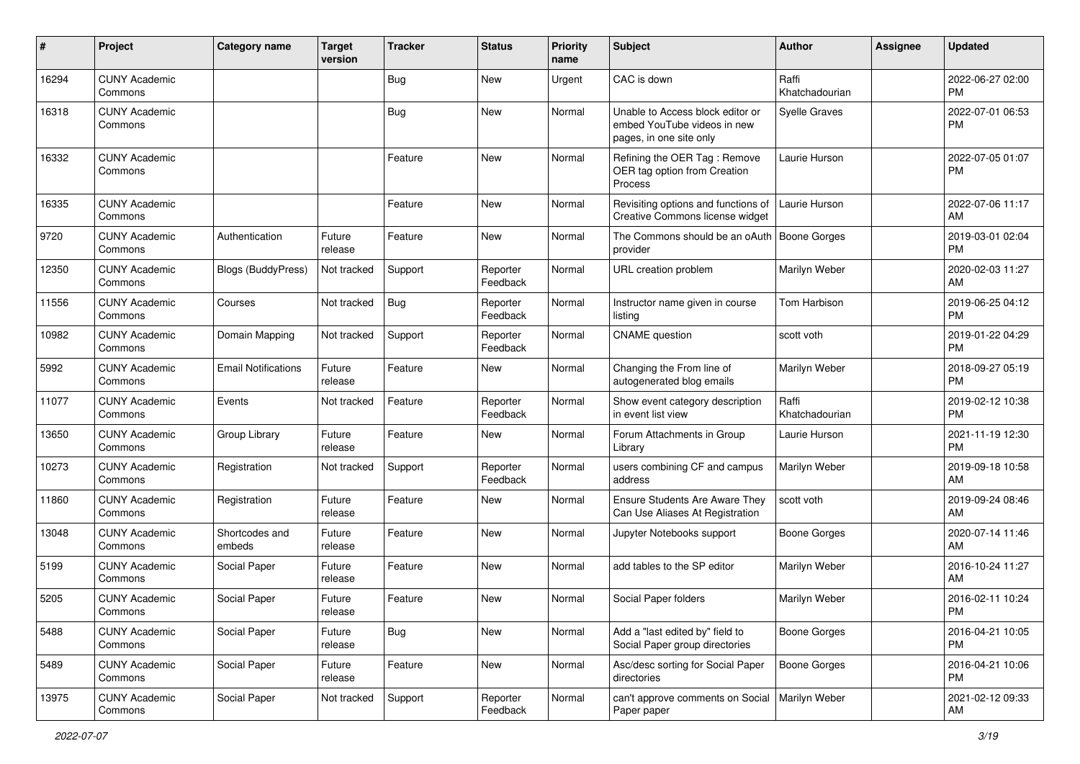| $\#$  | Project                         | <b>Category name</b>       | <b>Target</b><br>version | <b>Tracker</b> | <b>Status</b>        | Priority<br>name | <b>Subject</b>                                                                             | <b>Author</b>           | <b>Assignee</b> | <b>Updated</b>                |
|-------|---------------------------------|----------------------------|--------------------------|----------------|----------------------|------------------|--------------------------------------------------------------------------------------------|-------------------------|-----------------|-------------------------------|
| 16294 | <b>CUNY Academic</b><br>Commons |                            |                          | <b>Bug</b>     | <b>New</b>           | Urgent           | CAC is down                                                                                | Raffi<br>Khatchadourian |                 | 2022-06-27 02:00<br><b>PM</b> |
| 16318 | <b>CUNY Academic</b><br>Commons |                            |                          | <b>Bug</b>     | New                  | Normal           | Unable to Access block editor or<br>embed YouTube videos in new<br>pages, in one site only | Syelle Graves           |                 | 2022-07-01 06:53<br><b>PM</b> |
| 16332 | <b>CUNY Academic</b><br>Commons |                            |                          | Feature        | New                  | Normal           | Refining the OER Tag: Remove<br>OER tag option from Creation<br>Process                    | Laurie Hurson           |                 | 2022-07-05 01:07<br><b>PM</b> |
| 16335 | <b>CUNY Academic</b><br>Commons |                            |                          | Feature        | New                  | Normal           | Revisiting options and functions of<br>Creative Commons license widget                     | Laurie Hurson           |                 | 2022-07-06 11:17<br>AM        |
| 9720  | <b>CUNY Academic</b><br>Commons | Authentication             | Future<br>release        | Feature        | New                  | Normal           | The Commons should be an oAuth<br>provider                                                 | Boone Gorges            |                 | 2019-03-01 02:04<br><b>PM</b> |
| 12350 | <b>CUNY Academic</b><br>Commons | Blogs (BuddyPress)         | Not tracked              | Support        | Reporter<br>Feedback | Normal           | URL creation problem                                                                       | Marilyn Weber           |                 | 2020-02-03 11:27<br>AM        |
| 11556 | <b>CUNY Academic</b><br>Commons | Courses                    | Not tracked              | Bug            | Reporter<br>Feedback | Normal           | Instructor name given in course<br>listing                                                 | Tom Harbison            |                 | 2019-06-25 04:12<br><b>PM</b> |
| 10982 | <b>CUNY Academic</b><br>Commons | Domain Mapping             | Not tracked              | Support        | Reporter<br>Feedback | Normal           | <b>CNAME</b> question                                                                      | scott voth              |                 | 2019-01-22 04:29<br><b>PM</b> |
| 5992  | <b>CUNY Academic</b><br>Commons | <b>Email Notifications</b> | Future<br>release        | Feature        | New                  | Normal           | Changing the From line of<br>autogenerated blog emails                                     | Marilyn Weber           |                 | 2018-09-27 05:19<br><b>PM</b> |
| 11077 | <b>CUNY Academic</b><br>Commons | Events                     | Not tracked              | Feature        | Reporter<br>Feedback | Normal           | Show event category description<br>in event list view                                      | Raffi<br>Khatchadourian |                 | 2019-02-12 10:38<br><b>PM</b> |
| 13650 | <b>CUNY Academic</b><br>Commons | Group Library              | Future<br>release        | Feature        | New                  | Normal           | Forum Attachments in Group<br>Library                                                      | Laurie Hurson           |                 | 2021-11-19 12:30<br><b>PM</b> |
| 10273 | <b>CUNY Academic</b><br>Commons | Registration               | Not tracked              | Support        | Reporter<br>Feedback | Normal           | users combining CF and campus<br>address                                                   | Marilyn Weber           |                 | 2019-09-18 10:58<br>AM        |
| 11860 | <b>CUNY Academic</b><br>Commons | Registration               | Future<br>release        | Feature        | New                  | Normal           | <b>Ensure Students Are Aware They</b><br>Can Use Aliases At Registration                   | scott voth              |                 | 2019-09-24 08:46<br>AM        |
| 13048 | <b>CUNY Academic</b><br>Commons | Shortcodes and<br>embeds   | Future<br>release        | Feature        | <b>New</b>           | Normal           | Jupyter Notebooks support                                                                  | Boone Gorges            |                 | 2020-07-14 11:46<br>AM        |
| 5199  | <b>CUNY Academic</b><br>Commons | Social Paper               | Future<br>release        | Feature        | New                  | Normal           | add tables to the SP editor                                                                | Marilyn Weber           |                 | 2016-10-24 11:27<br>AM        |
| 5205  | <b>CUNY Academic</b><br>Commons | Social Paper               | Future<br>release        | Feature        | New                  | Normal           | Social Paper folders                                                                       | Marilyn Weber           |                 | 2016-02-11 10:24<br>PM        |
| 5488  | <b>CUNY Academic</b><br>Commons | Social Paper               | Future<br>release        | Bug            | New                  | Normal           | Add a "last edited by" field to<br>Social Paper group directories                          | <b>Boone Gorges</b>     |                 | 2016-04-21 10:05<br><b>PM</b> |
| 5489  | <b>CUNY Academic</b><br>Commons | Social Paper               | Future<br>release        | Feature        | New                  | Normal           | Asc/desc sorting for Social Paper<br>directories                                           | <b>Boone Gorges</b>     |                 | 2016-04-21 10:06<br><b>PM</b> |
| 13975 | <b>CUNY Academic</b><br>Commons | Social Paper               | Not tracked              | Support        | Reporter<br>Feedback | Normal           | can't approve comments on Social   Marilyn Weber<br>Paper paper                            |                         |                 | 2021-02-12 09:33<br>AM        |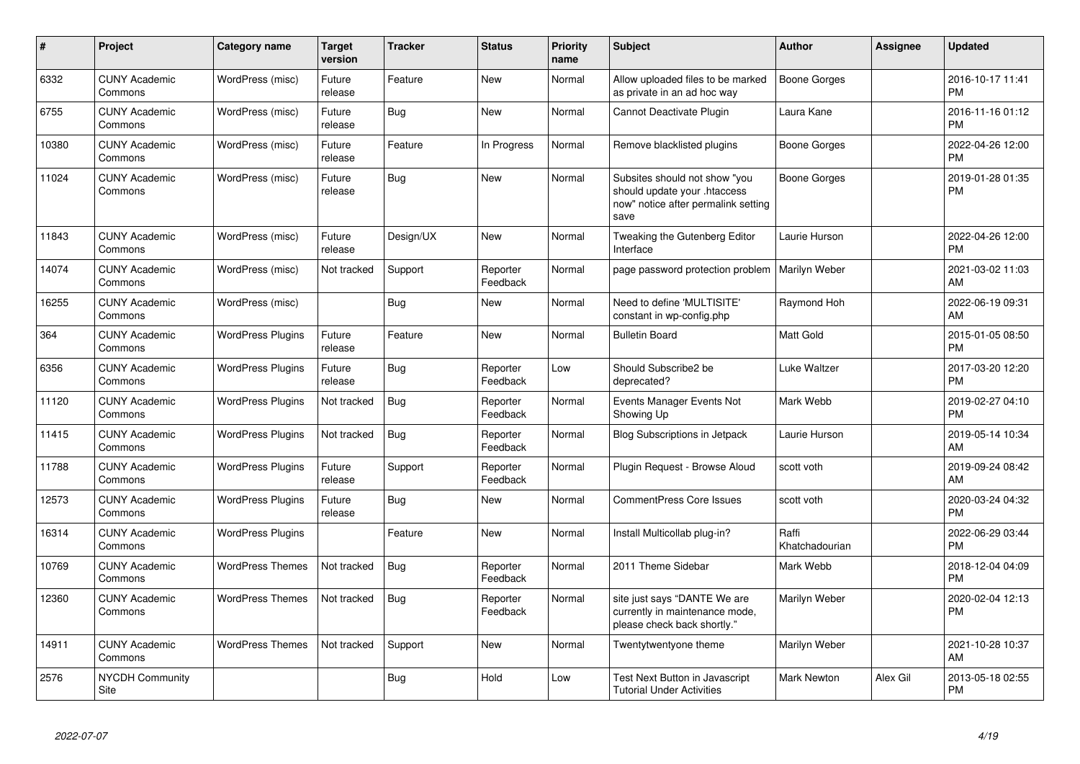| #     | <b>Project</b>                  | <b>Category name</b>     | <b>Target</b><br>version | <b>Tracker</b> | <b>Status</b>        | <b>Priority</b><br>name | <b>Subject</b>                                                                                               | Author                  | <b>Assignee</b> | <b>Updated</b>                |
|-------|---------------------------------|--------------------------|--------------------------|----------------|----------------------|-------------------------|--------------------------------------------------------------------------------------------------------------|-------------------------|-----------------|-------------------------------|
| 6332  | <b>CUNY Academic</b><br>Commons | WordPress (misc)         | Future<br>release        | Feature        | <b>New</b>           | Normal                  | Allow uploaded files to be marked<br>as private in an ad hoc way                                             | Boone Gorges            |                 | 2016-10-17 11:41<br><b>PM</b> |
| 6755  | <b>CUNY Academic</b><br>Commons | WordPress (misc)         | Future<br>release        | Bug            | <b>New</b>           | Normal                  | <b>Cannot Deactivate Plugin</b>                                                                              | Laura Kane              |                 | 2016-11-16 01:12<br><b>PM</b> |
| 10380 | <b>CUNY Academic</b><br>Commons | WordPress (misc)         | Future<br>release        | Feature        | In Progress          | Normal                  | Remove blacklisted plugins                                                                                   | Boone Gorges            |                 | 2022-04-26 12:00<br><b>PM</b> |
| 11024 | <b>CUNY Academic</b><br>Commons | WordPress (misc)         | Future<br>release        | Bug            | <b>New</b>           | Normal                  | Subsites should not show "you<br>should update your .htaccess<br>now" notice after permalink setting<br>save | Boone Gorges            |                 | 2019-01-28 01:35<br><b>PM</b> |
| 11843 | <b>CUNY Academic</b><br>Commons | WordPress (misc)         | Future<br>release        | Design/UX      | <b>New</b>           | Normal                  | Tweaking the Gutenberg Editor<br>Interface                                                                   | Laurie Hurson           |                 | 2022-04-26 12:00<br><b>PM</b> |
| 14074 | <b>CUNY Academic</b><br>Commons | WordPress (misc)         | Not tracked              | Support        | Reporter<br>Feedback | Normal                  | page password protection problem                                                                             | Marilyn Weber           |                 | 2021-03-02 11:03<br>AM        |
| 16255 | <b>CUNY Academic</b><br>Commons | WordPress (misc)         |                          | <b>Bug</b>     | <b>New</b>           | Normal                  | Need to define 'MULTISITE'<br>constant in wp-config.php                                                      | Raymond Hoh             |                 | 2022-06-19 09:31<br>AM        |
| 364   | <b>CUNY Academic</b><br>Commons | <b>WordPress Plugins</b> | Future<br>release        | Feature        | <b>New</b>           | Normal                  | <b>Bulletin Board</b>                                                                                        | <b>Matt Gold</b>        |                 | 2015-01-05 08:50<br><b>PM</b> |
| 6356  | <b>CUNY Academic</b><br>Commons | <b>WordPress Plugins</b> | Future<br>release        | <b>Bug</b>     | Reporter<br>Feedback | Low                     | Should Subscribe2 be<br>deprecated?                                                                          | <b>Luke Waltzer</b>     |                 | 2017-03-20 12:20<br><b>PM</b> |
| 11120 | <b>CUNY Academic</b><br>Commons | <b>WordPress Plugins</b> | Not tracked              | <b>Bug</b>     | Reporter<br>Feedback | Normal                  | Events Manager Events Not<br>Showing Up                                                                      | Mark Webb               |                 | 2019-02-27 04:10<br><b>PM</b> |
| 11415 | <b>CUNY Academic</b><br>Commons | <b>WordPress Plugins</b> | Not tracked              | Bug            | Reporter<br>Feedback | Normal                  | Blog Subscriptions in Jetpack                                                                                | Laurie Hurson           |                 | 2019-05-14 10:34<br>AM        |
| 11788 | <b>CUNY Academic</b><br>Commons | <b>WordPress Plugins</b> | Future<br>release        | Support        | Reporter<br>Feedback | Normal                  | Plugin Request - Browse Aloud                                                                                | scott voth              |                 | 2019-09-24 08:42<br>AM        |
| 12573 | <b>CUNY Academic</b><br>Commons | <b>WordPress Plugins</b> | Future<br>release        | Bug            | <b>New</b>           | Normal                  | <b>CommentPress Core Issues</b>                                                                              | scott voth              |                 | 2020-03-24 04:32<br>PM        |
| 16314 | <b>CUNY Academic</b><br>Commons | <b>WordPress Plugins</b> |                          | Feature        | <b>New</b>           | Normal                  | Install Multicollab plug-in?                                                                                 | Raffi<br>Khatchadourian |                 | 2022-06-29 03:44<br><b>PM</b> |
| 10769 | <b>CUNY Academic</b><br>Commons | <b>WordPress Themes</b>  | Not tracked              | <b>Bug</b>     | Reporter<br>Feedback | Normal                  | 2011 Theme Sidebar                                                                                           | Mark Webb               |                 | 2018-12-04 04:09<br><b>PM</b> |
| 12360 | <b>CUNY Academic</b><br>Commons | <b>WordPress Themes</b>  | Not tracked              | <b>Bug</b>     | Reporter<br>Feedback | Normal                  | site just says "DANTE We are<br>currently in maintenance mode,<br>please check back shortly."                | Marilyn Weber           |                 | 2020-02-04 12:13<br><b>PM</b> |
| 14911 | <b>CUNY Academic</b><br>Commons | <b>WordPress Themes</b>  | Not tracked              | Support        | <b>New</b>           | Normal                  | Twentytwentyone theme                                                                                        | Marilyn Weber           |                 | 2021-10-28 10:37<br>AM        |
| 2576  | <b>NYCDH Community</b><br>Site  |                          |                          | <b>Bug</b>     | Hold                 | Low                     | Test Next Button in Javascript<br><b>Tutorial Under Activities</b>                                           | <b>Mark Newton</b>      | Alex Gil        | 2013-05-18 02:55<br><b>PM</b> |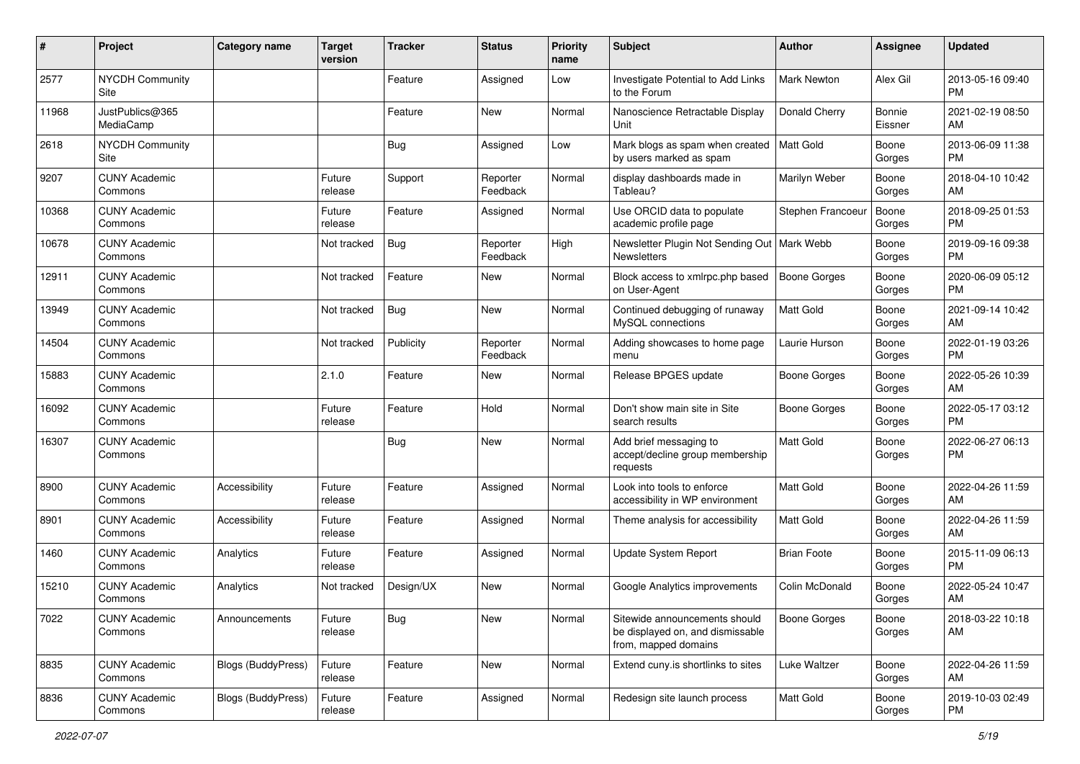| $\#$  | Project                         | <b>Category name</b>      | <b>Target</b><br>version | <b>Tracker</b> | <b>Status</b>        | <b>Priority</b><br>name | <b>Subject</b>                                                                            | Author              | <b>Assignee</b>   | <b>Updated</b>                |
|-------|---------------------------------|---------------------------|--------------------------|----------------|----------------------|-------------------------|-------------------------------------------------------------------------------------------|---------------------|-------------------|-------------------------------|
| 2577  | <b>NYCDH Community</b><br>Site  |                           |                          | Feature        | Assigned             | Low                     | Investigate Potential to Add Links<br>to the Forum                                        | <b>Mark Newton</b>  | Alex Gil          | 2013-05-16 09:40<br>PM        |
| 11968 | JustPublics@365<br>MediaCamp    |                           |                          | Feature        | New                  | Normal                  | Nanoscience Retractable Display<br>Unit                                                   | Donald Cherry       | Bonnie<br>Eissner | 2021-02-19 08:50<br>AM        |
| 2618  | <b>NYCDH Community</b><br>Site  |                           |                          | <b>Bug</b>     | Assigned             | Low                     | Mark blogs as spam when created<br>by users marked as spam                                | Matt Gold           | Boone<br>Gorges   | 2013-06-09 11:38<br>PM        |
| 9207  | <b>CUNY Academic</b><br>Commons |                           | Future<br>release        | Support        | Reporter<br>Feedback | Normal                  | display dashboards made in<br>Tableau?                                                    | Marilyn Weber       | Boone<br>Gorges   | 2018-04-10 10:42<br>AM        |
| 10368 | <b>CUNY Academic</b><br>Commons |                           | Future<br>release        | Feature        | Assigned             | Normal                  | Use ORCID data to populate<br>academic profile page                                       | Stephen Francoeu    | Boone<br>Gorges   | 2018-09-25 01:53<br>PM        |
| 10678 | <b>CUNY Academic</b><br>Commons |                           | Not tracked              | <b>Bug</b>     | Reporter<br>Feedback | High                    | Newsletter Plugin Not Sending Out   Mark Webb<br><b>Newsletters</b>                       |                     | Boone<br>Gorges   | 2019-09-16 09:38<br><b>PM</b> |
| 12911 | <b>CUNY Academic</b><br>Commons |                           | Not tracked              | Feature        | New                  | Normal                  | Block access to xmlrpc.php based<br>on User-Agent                                         | <b>Boone Gorges</b> | Boone<br>Gorges   | 2020-06-09 05:12<br>PM        |
| 13949 | <b>CUNY Academic</b><br>Commons |                           | Not tracked              | <b>Bug</b>     | New                  | Normal                  | Continued debugging of runaway<br>MySQL connections                                       | <b>Matt Gold</b>    | Boone<br>Gorges   | 2021-09-14 10:42<br>AM        |
| 14504 | <b>CUNY Academic</b><br>Commons |                           | Not tracked              | Publicity      | Reporter<br>Feedback | Normal                  | Adding showcases to home page<br>menu                                                     | Laurie Hurson       | Boone<br>Gorges   | 2022-01-19 03:26<br><b>PM</b> |
| 15883 | <b>CUNY Academic</b><br>Commons |                           | 2.1.0                    | Feature        | New                  | Normal                  | Release BPGES update                                                                      | Boone Gorges        | Boone<br>Gorges   | 2022-05-26 10:39<br>AM        |
| 16092 | <b>CUNY Academic</b><br>Commons |                           | Future<br>release        | Feature        | Hold                 | Normal                  | Don't show main site in Site<br>search results                                            | Boone Gorges        | Boone<br>Gorges   | 2022-05-17 03:12<br>PM        |
| 16307 | <b>CUNY Academic</b><br>Commons |                           |                          | <b>Bug</b>     | New                  | Normal                  | Add brief messaging to<br>accept/decline group membership<br>requests                     | Matt Gold           | Boone<br>Gorges   | 2022-06-27 06:13<br>PM        |
| 8900  | <b>CUNY Academic</b><br>Commons | Accessibility             | Future<br>release        | Feature        | Assigned             | Normal                  | Look into tools to enforce<br>accessibility in WP environment                             | Matt Gold           | Boone<br>Gorges   | 2022-04-26 11:59<br>AM        |
| 8901  | <b>CUNY Academic</b><br>Commons | Accessibility             | Future<br>release        | Feature        | Assigned             | Normal                  | Theme analysis for accessibility                                                          | <b>Matt Gold</b>    | Boone<br>Gorges   | 2022-04-26 11:59<br>AM        |
| 1460  | <b>CUNY Academic</b><br>Commons | Analytics                 | Future<br>release        | Feature        | Assigned             | Normal                  | Update System Report                                                                      | <b>Brian Foote</b>  | Boone<br>Gorges   | 2015-11-09 06:13<br>PM        |
| 15210 | <b>CUNY Academic</b><br>Commons | Analytics                 | Not tracked              | Design/UX      | New                  | Normal                  | Google Analytics improvements                                                             | Colin McDonald      | Boone<br>Gorges   | 2022-05-24 10:47<br>AM        |
| 7022  | <b>CUNY Academic</b><br>Commons | Announcements             | Future<br>release        | <b>Bug</b>     | New                  | Normal                  | Sitewide announcements should<br>be displayed on, and dismissable<br>from, mapped domains | <b>Boone Gorges</b> | Boone<br>Gorges   | 2018-03-22 10:18<br>AM        |
| 8835  | <b>CUNY Academic</b><br>Commons | <b>Blogs (BuddyPress)</b> | Future<br>release        | Feature        | New                  | Normal                  | Extend cuny is shortlinks to sites                                                        | Luke Waltzer        | Boone<br>Gorges   | 2022-04-26 11:59<br>AM        |
| 8836  | <b>CUNY Academic</b><br>Commons | Blogs (BuddyPress)        | Future<br>release        | Feature        | Assigned             | Normal                  | Redesign site launch process                                                              | Matt Gold           | Boone<br>Gorges   | 2019-10-03 02:49<br>PM        |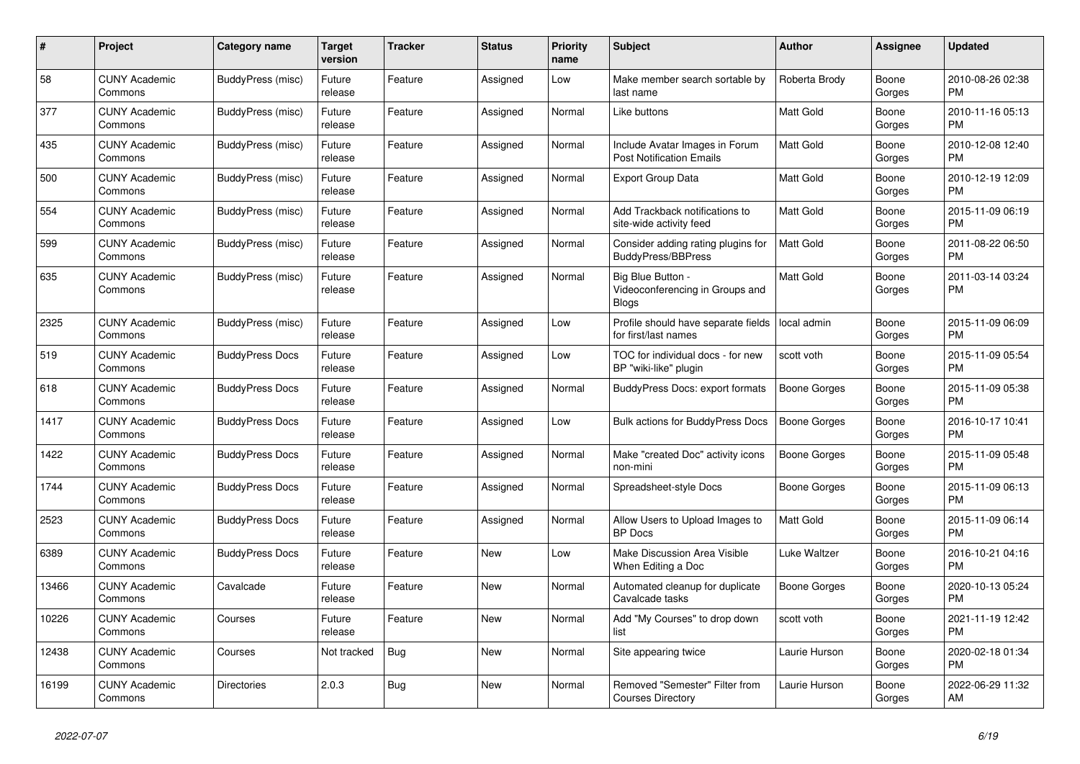| $\pmb{\#}$ | Project                         | <b>Category name</b>   | <b>Target</b><br>version | Tracker    | <b>Status</b> | <b>Priority</b><br>name | <b>Subject</b>                                                       | <b>Author</b>       | Assignee        | <b>Updated</b>                |
|------------|---------------------------------|------------------------|--------------------------|------------|---------------|-------------------------|----------------------------------------------------------------------|---------------------|-----------------|-------------------------------|
| 58         | <b>CUNY Academic</b><br>Commons | BuddyPress (misc)      | Future<br>release        | Feature    | Assigned      | Low                     | Make member search sortable by<br>last name                          | Roberta Brody       | Boone<br>Gorges | 2010-08-26 02:38<br>PM        |
| 377        | <b>CUNY Academic</b><br>Commons | BuddyPress (misc)      | Future<br>release        | Feature    | Assigned      | Normal                  | Like buttons                                                         | Matt Gold           | Boone<br>Gorges | 2010-11-16 05:13<br><b>PM</b> |
| 435        | <b>CUNY Academic</b><br>Commons | BuddyPress (misc)      | Future<br>release        | Feature    | Assigned      | Normal                  | Include Avatar Images in Forum<br><b>Post Notification Emails</b>    | <b>Matt Gold</b>    | Boone<br>Gorges | 2010-12-08 12:40<br><b>PM</b> |
| 500        | <b>CUNY Academic</b><br>Commons | BuddyPress (misc)      | Future<br>release        | Feature    | Assigned      | Normal                  | <b>Export Group Data</b>                                             | <b>Matt Gold</b>    | Boone<br>Gorges | 2010-12-19 12:09<br>PM        |
| 554        | <b>CUNY Academic</b><br>Commons | BuddyPress (misc)      | Future<br>release        | Feature    | Assigned      | Normal                  | Add Trackback notifications to<br>site-wide activity feed            | <b>Matt Gold</b>    | Boone<br>Gorges | 2015-11-09 06:19<br>PM        |
| 599        | <b>CUNY Academic</b><br>Commons | BuddyPress (misc)      | Future<br>release        | Feature    | Assigned      | Normal                  | Consider adding rating plugins for<br><b>BuddyPress/BBPress</b>      | <b>Matt Gold</b>    | Boone<br>Gorges | 2011-08-22 06:50<br><b>PM</b> |
| 635        | <b>CUNY Academic</b><br>Commons | BuddyPress (misc)      | Future<br>release        | Feature    | Assigned      | Normal                  | Big Blue Button -<br>Videoconferencing in Groups and<br><b>Blogs</b> | <b>Matt Gold</b>    | Boone<br>Gorges | 2011-03-14 03:24<br><b>PM</b> |
| 2325       | <b>CUNY Academic</b><br>Commons | BuddyPress (misc)      | Future<br>release        | Feature    | Assigned      | Low                     | Profile should have separate fields<br>for first/last names          | local admin         | Boone<br>Gorges | 2015-11-09 06:09<br><b>PM</b> |
| 519        | <b>CUNY Academic</b><br>Commons | <b>BuddyPress Docs</b> | Future<br>release        | Feature    | Assigned      | Low                     | TOC for individual docs - for new<br>BP "wiki-like" plugin           | scott voth          | Boone<br>Gorges | 2015-11-09 05:54<br><b>PM</b> |
| 618        | <b>CUNY Academic</b><br>Commons | <b>BuddyPress Docs</b> | Future<br>release        | Feature    | Assigned      | Normal                  | <b>BuddyPress Docs: export formats</b>                               | Boone Gorges        | Boone<br>Gorges | 2015-11-09 05:38<br><b>PM</b> |
| 1417       | <b>CUNY Academic</b><br>Commons | <b>BuddyPress Docs</b> | Future<br>release        | Feature    | Assigned      | Low                     | <b>Bulk actions for BuddyPress Docs</b>                              | <b>Boone Gorges</b> | Boone<br>Gorges | 2016-10-17 10:41<br><b>PM</b> |
| 1422       | <b>CUNY Academic</b><br>Commons | <b>BuddyPress Docs</b> | Future<br>release        | Feature    | Assigned      | Normal                  | Make "created Doc" activity icons<br>non-mini                        | Boone Gorges        | Boone<br>Gorges | 2015-11-09 05:48<br><b>PM</b> |
| 1744       | <b>CUNY Academic</b><br>Commons | <b>BuddyPress Docs</b> | Future<br>release        | Feature    | Assigned      | Normal                  | Spreadsheet-style Docs                                               | Boone Gorges        | Boone<br>Gorges | 2015-11-09 06:13<br><b>PM</b> |
| 2523       | <b>CUNY Academic</b><br>Commons | <b>BuddyPress Docs</b> | Future<br>release        | Feature    | Assigned      | Normal                  | Allow Users to Upload Images to<br><b>BP</b> Docs                    | <b>Matt Gold</b>    | Boone<br>Gorges | 2015-11-09 06:14<br><b>PM</b> |
| 6389       | <b>CUNY Academic</b><br>Commons | <b>BuddyPress Docs</b> | Future<br>release        | Feature    | New           | Low                     | Make Discussion Area Visible<br>When Editing a Doc                   | Luke Waltzer        | Boone<br>Gorges | 2016-10-21 04:16<br>PM        |
| 13466      | <b>CUNY Academic</b><br>Commons | Cavalcade              | Future<br>release        | Feature    | <b>New</b>    | Normal                  | Automated cleanup for duplicate<br>Cavalcade tasks                   | Boone Gorges        | Boone<br>Gorges | 2020-10-13 05:24<br>PM        |
| 10226      | <b>CUNY Academic</b><br>Commons | Courses                | Future<br>release        | Feature    | New           | Normal                  | Add "My Courses" to drop down<br>list                                | scott voth          | Boone<br>Gorges | 2021-11-19 12:42<br><b>PM</b> |
| 12438      | <b>CUNY Academic</b><br>Commons | Courses                | Not tracked              | <b>Bug</b> | New           | Normal                  | Site appearing twice                                                 | Laurie Hurson       | Boone<br>Gorges | 2020-02-18 01:34<br>PM        |
| 16199      | <b>CUNY Academic</b><br>Commons | Directories            | 2.0.3                    | <b>Bug</b> | <b>New</b>    | Normal                  | Removed "Semester" Filter from<br><b>Courses Directory</b>           | Laurie Hurson       | Boone<br>Gorges | 2022-06-29 11:32<br>AM        |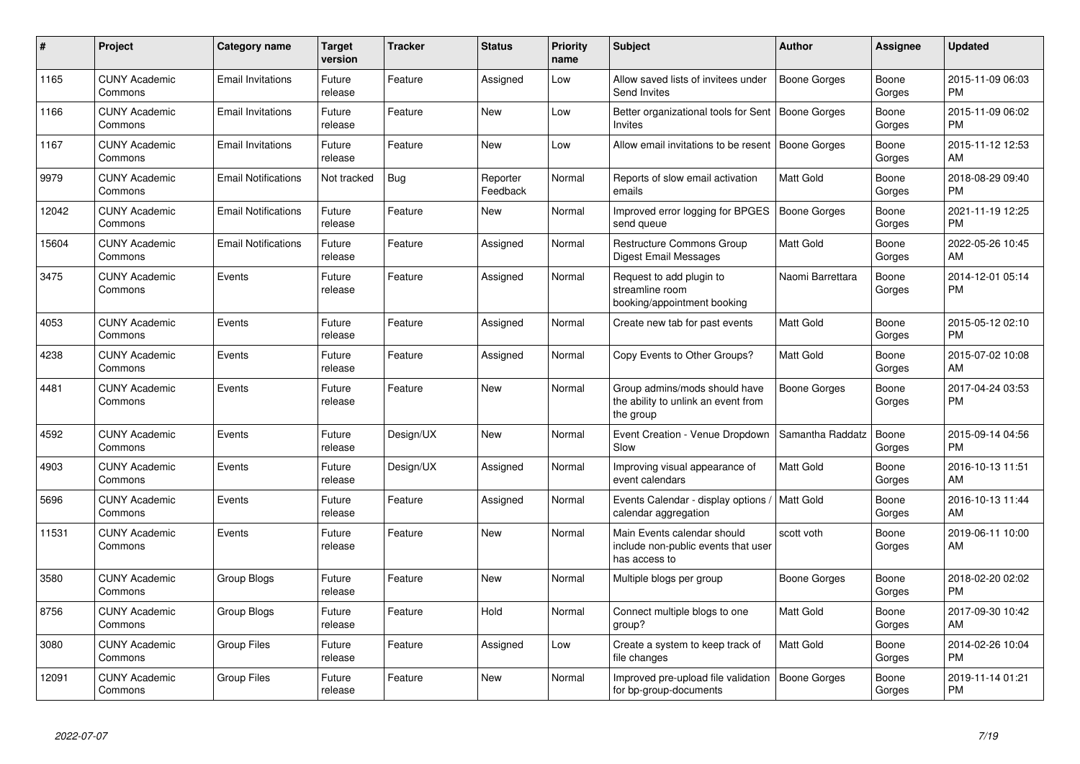| #     | <b>Project</b>                  | <b>Category name</b>       | <b>Target</b><br>version | <b>Tracker</b> | <b>Status</b>        | <b>Priority</b><br>name | <b>Subject</b>                                                                      | <b>Author</b>       | Assignee        | <b>Updated</b>                |
|-------|---------------------------------|----------------------------|--------------------------|----------------|----------------------|-------------------------|-------------------------------------------------------------------------------------|---------------------|-----------------|-------------------------------|
| 1165  | <b>CUNY Academic</b><br>Commons | <b>Email Invitations</b>   | Future<br>release        | Feature        | Assigned             | Low                     | Allow saved lists of invitees under<br>Send Invites                                 | Boone Gorges        | Boone<br>Gorges | 2015-11-09 06:03<br><b>PM</b> |
| 1166  | <b>CUNY Academic</b><br>Commons | <b>Email Invitations</b>   | Future<br>release        | Feature        | <b>New</b>           | Low                     | Better organizational tools for Sent   Boone Gorges<br>Invites                      |                     | Boone<br>Gorges | 2015-11-09 06:02<br><b>PM</b> |
| 1167  | <b>CUNY Academic</b><br>Commons | <b>Email Invitations</b>   | Future<br>release        | Feature        | <b>New</b>           | Low                     | Allow email invitations to be resent                                                | <b>Boone Gorges</b> | Boone<br>Gorges | 2015-11-12 12:53<br>AM        |
| 9979  | <b>CUNY Academic</b><br>Commons | <b>Email Notifications</b> | Not tracked              | <b>Bug</b>     | Reporter<br>Feedback | Normal                  | Reports of slow email activation<br>emails                                          | Matt Gold           | Boone<br>Gorges | 2018-08-29 09:40<br><b>PM</b> |
| 12042 | <b>CUNY Academic</b><br>Commons | <b>Email Notifications</b> | Future<br>release        | Feature        | <b>New</b>           | Normal                  | Improved error logging for BPGES<br>send queue                                      | <b>Boone Gorges</b> | Boone<br>Gorges | 2021-11-19 12:25<br><b>PM</b> |
| 15604 | <b>CUNY Academic</b><br>Commons | <b>Email Notifications</b> | Future<br>release        | Feature        | Assigned             | Normal                  | Restructure Commons Group<br>Digest Email Messages                                  | Matt Gold           | Boone<br>Gorges | 2022-05-26 10:45<br>AM        |
| 3475  | <b>CUNY Academic</b><br>Commons | Events                     | Future<br>release        | Feature        | Assigned             | Normal                  | Request to add plugin to<br>streamline room<br>booking/appointment booking          | Naomi Barrettara    | Boone<br>Gorges | 2014-12-01 05:14<br><b>PM</b> |
| 4053  | <b>CUNY Academic</b><br>Commons | Events                     | Future<br>release        | Feature        | Assigned             | Normal                  | Create new tab for past events                                                      | Matt Gold           | Boone<br>Gorges | 2015-05-12 02:10<br><b>PM</b> |
| 4238  | <b>CUNY Academic</b><br>Commons | Events                     | Future<br>release        | Feature        | Assigned             | Normal                  | Copy Events to Other Groups?                                                        | Matt Gold           | Boone<br>Gorges | 2015-07-02 10:08<br>AM        |
| 4481  | <b>CUNY Academic</b><br>Commons | Events                     | Future<br>release        | Feature        | <b>New</b>           | Normal                  | Group admins/mods should have<br>the ability to unlink an event from<br>the group   | Boone Gorges        | Boone<br>Gorges | 2017-04-24 03:53<br><b>PM</b> |
| 4592  | <b>CUNY Academic</b><br>Commons | Events                     | Future<br>release        | Design/UX      | <b>New</b>           | Normal                  | Event Creation - Venue Dropdown<br>Slow                                             | Samantha Raddatz    | Boone<br>Gorges | 2015-09-14 04:56<br><b>PM</b> |
| 4903  | <b>CUNY Academic</b><br>Commons | Events                     | Future<br>release        | Design/UX      | Assigned             | Normal                  | Improving visual appearance of<br>event calendars                                   | Matt Gold           | Boone<br>Gorges | 2016-10-13 11:51<br>AM        |
| 5696  | <b>CUNY Academic</b><br>Commons | Events                     | Future<br>release        | Feature        | Assigned             | Normal                  | Events Calendar - display options<br>calendar aggregation                           | Matt Gold           | Boone<br>Gorges | 2016-10-13 11:44<br>AM        |
| 11531 | <b>CUNY Academic</b><br>Commons | Events                     | Future<br>release        | Feature        | New                  | Normal                  | Main Events calendar should<br>include non-public events that user<br>has access to | scott voth          | Boone<br>Gorges | 2019-06-11 10:00<br>AM        |
| 3580  | <b>CUNY Academic</b><br>Commons | Group Blogs                | Future<br>release        | Feature        | <b>New</b>           | Normal                  | Multiple blogs per group                                                            | Boone Gorges        | Boone<br>Gorges | 2018-02-20 02:02<br><b>PM</b> |
| 8756  | <b>CUNY Academic</b><br>Commons | Group Blogs                | Future<br>release        | Feature        | Hold                 | Normal                  | Connect multiple blogs to one<br>group?                                             | <b>Matt Gold</b>    | Boone<br>Gorges | 2017-09-30 10:42<br>AM        |
| 3080  | <b>CUNY Academic</b><br>Commons | Group Files                | Future<br>release        | Feature        | Assigned             | Low                     | Create a system to keep track of<br>file changes                                    | Matt Gold           | Boone<br>Gorges | 2014-02-26 10:04<br>PM        |
| 12091 | <b>CUNY Academic</b><br>Commons | <b>Group Files</b>         | Future<br>release        | Feature        | New                  | Normal                  | Improved pre-upload file validation<br>for bp-group-documents                       | Boone Gorges        | Boone<br>Gorges | 2019-11-14 01:21<br><b>PM</b> |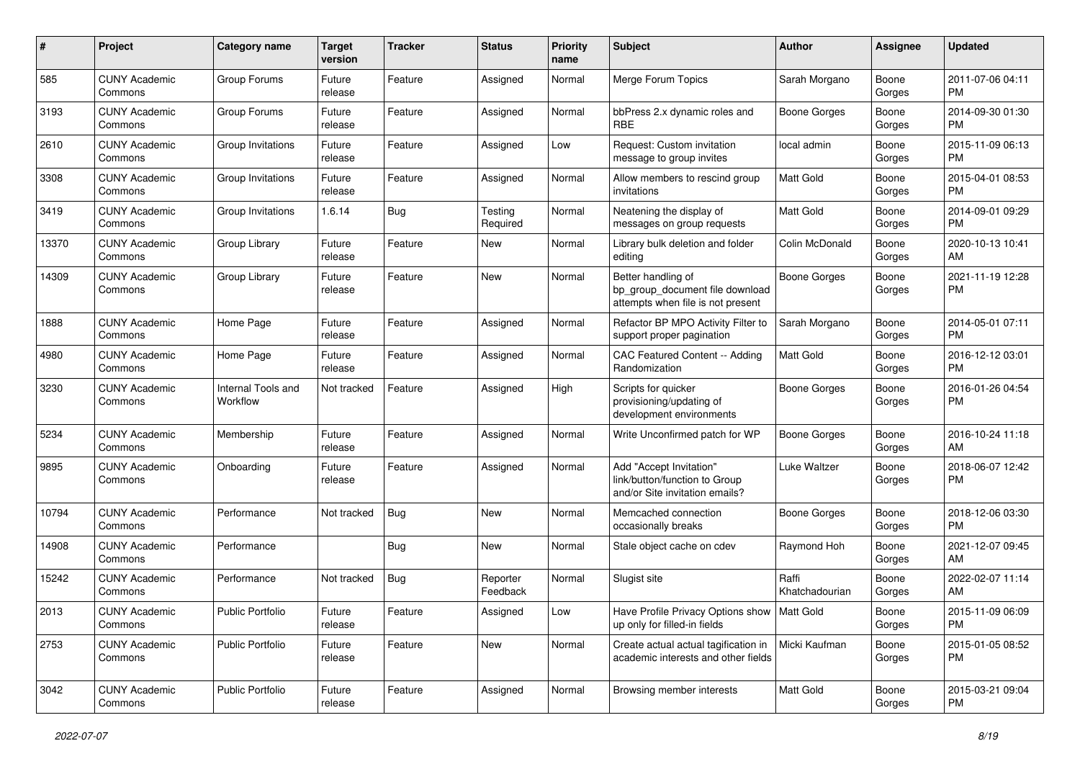| #     | Project                         | <b>Category name</b>           | <b>Target</b><br>version | <b>Tracker</b> | <b>Status</b>        | <b>Priority</b><br>name | <b>Subject</b>                                                                             | Author                  | <b>Assignee</b> | <b>Updated</b>                |
|-------|---------------------------------|--------------------------------|--------------------------|----------------|----------------------|-------------------------|--------------------------------------------------------------------------------------------|-------------------------|-----------------|-------------------------------|
| 585   | <b>CUNY Academic</b><br>Commons | Group Forums                   | Future<br>release        | Feature        | Assigned             | Normal                  | Merge Forum Topics                                                                         | Sarah Morgano           | Boone<br>Gorges | 2011-07-06 04:11<br><b>PM</b> |
| 3193  | <b>CUNY Academic</b><br>Commons | Group Forums                   | Future<br>release        | Feature        | Assigned             | Normal                  | bbPress 2.x dynamic roles and<br><b>RBE</b>                                                | <b>Boone Gorges</b>     | Boone<br>Gorges | 2014-09-30 01:30<br><b>PM</b> |
| 2610  | <b>CUNY Academic</b><br>Commons | Group Invitations              | Future<br>release        | Feature        | Assigned             | Low                     | Request: Custom invitation<br>message to group invites                                     | local admin             | Boone<br>Gorges | 2015-11-09 06:13<br><b>PM</b> |
| 3308  | <b>CUNY Academic</b><br>Commons | Group Invitations              | Future<br>release        | Feature        | Assigned             | Normal                  | Allow members to rescind group<br>invitations                                              | Matt Gold               | Boone<br>Gorges | 2015-04-01 08:53<br><b>PM</b> |
| 3419  | <b>CUNY Academic</b><br>Commons | Group Invitations              | 1.6.14                   | <b>Bug</b>     | Testing<br>Required  | Normal                  | Neatening the display of<br>messages on group requests                                     | Matt Gold               | Boone<br>Gorges | 2014-09-01 09:29<br><b>PM</b> |
| 13370 | <b>CUNY Academic</b><br>Commons | Group Library                  | Future<br>release        | Feature        | New                  | Normal                  | Library bulk deletion and folder<br>editing                                                | Colin McDonald          | Boone<br>Gorges | 2020-10-13 10:41<br>AM        |
| 14309 | <b>CUNY Academic</b><br>Commons | Group Library                  | Future<br>release        | Feature        | New                  | Normal                  | Better handling of<br>bp_group_document file download<br>attempts when file is not present | Boone Gorges            | Boone<br>Gorges | 2021-11-19 12:28<br><b>PM</b> |
| 1888  | <b>CUNY Academic</b><br>Commons | Home Page                      | Future<br>release        | Feature        | Assigned             | Normal                  | Refactor BP MPO Activity Filter to<br>support proper pagination                            | Sarah Morgano           | Boone<br>Gorges | 2014-05-01 07:11<br><b>PM</b> |
| 4980  | <b>CUNY Academic</b><br>Commons | Home Page                      | Future<br>release        | Feature        | Assigned             | Normal                  | CAC Featured Content -- Adding<br>Randomization                                            | Matt Gold               | Boone<br>Gorges | 2016-12-12 03:01<br><b>PM</b> |
| 3230  | <b>CUNY Academic</b><br>Commons | Internal Tools and<br>Workflow | Not tracked              | Feature        | Assigned             | High                    | Scripts for quicker<br>provisioning/updating of<br>development environments                | <b>Boone Gorges</b>     | Boone<br>Gorges | 2016-01-26 04:54<br><b>PM</b> |
| 5234  | <b>CUNY Academic</b><br>Commons | Membership                     | Future<br>release        | Feature        | Assigned             | Normal                  | Write Unconfirmed patch for WP                                                             | <b>Boone Gorges</b>     | Boone<br>Gorges | 2016-10-24 11:18<br>AM        |
| 9895  | <b>CUNY Academic</b><br>Commons | Onboarding                     | Future<br>release        | Feature        | Assigned             | Normal                  | Add "Accept Invitation"<br>link/button/function to Group<br>and/or Site invitation emails? | Luke Waltzer            | Boone<br>Gorges | 2018-06-07 12:42<br><b>PM</b> |
| 10794 | <b>CUNY Academic</b><br>Commons | Performance                    | Not tracked              | <b>Bug</b>     | New                  | Normal                  | Memcached connection<br>occasionally breaks                                                | <b>Boone Gorges</b>     | Boone<br>Gorges | 2018-12-06 03:30<br><b>PM</b> |
| 14908 | <b>CUNY Academic</b><br>Commons | Performance                    |                          | <b>Bug</b>     | <b>New</b>           | Normal                  | Stale object cache on cdev                                                                 | Raymond Hoh             | Boone<br>Gorges | 2021-12-07 09:45<br>AM        |
| 15242 | <b>CUNY Academic</b><br>Commons | Performance                    | Not tracked              | <b>Bug</b>     | Reporter<br>Feedback | Normal                  | Slugist site                                                                               | Raffi<br>Khatchadourian | Boone<br>Gorges | 2022-02-07 11:14<br>AM        |
| 2013  | <b>CUNY Academic</b><br>Commons | Public Portfolio               | Future<br>release        | Feature        | Assigned             | Low                     | Have Profile Privacy Options show   Matt Gold<br>up only for filled-in fields              |                         | Boone<br>Gorges | 2015-11-09 06:09<br><b>PM</b> |
| 2753  | <b>CUNY Academic</b><br>Commons | <b>Public Portfolio</b>        | Future<br>release        | Feature        | New                  | Normal                  | Create actual actual tagification in<br>academic interests and other fields                | Micki Kaufman           | Boone<br>Gorges | 2015-01-05 08:52<br><b>PM</b> |
| 3042  | <b>CUNY Academic</b><br>Commons | <b>Public Portfolio</b>        | Future<br>release        | Feature        | Assigned             | Normal                  | Browsing member interests                                                                  | Matt Gold               | Boone<br>Gorges | 2015-03-21 09:04<br><b>PM</b> |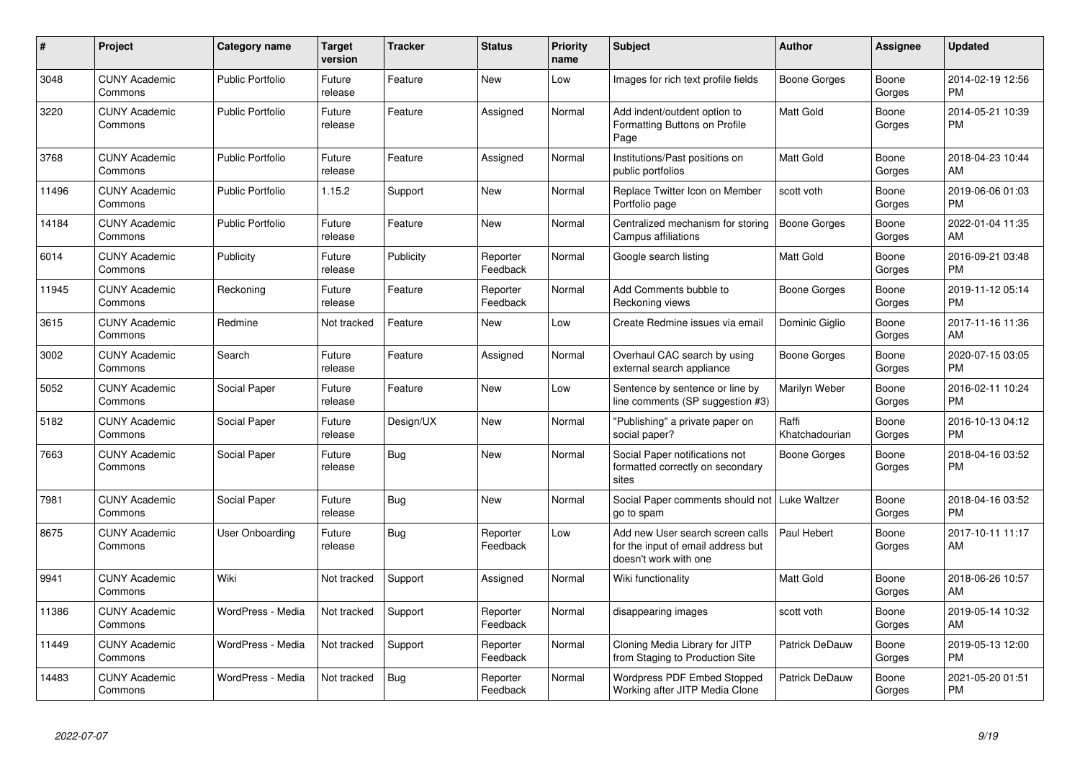| #     | <b>Project</b>                  | <b>Category name</b>    | <b>Target</b><br>version | <b>Tracker</b> | <b>Status</b>        | <b>Priority</b><br>name | Subject                                                                                         | Author                  | Assignee        | <b>Updated</b>                |
|-------|---------------------------------|-------------------------|--------------------------|----------------|----------------------|-------------------------|-------------------------------------------------------------------------------------------------|-------------------------|-----------------|-------------------------------|
| 3048  | <b>CUNY Academic</b><br>Commons | <b>Public Portfolio</b> | Future<br>release        | Feature        | <b>New</b>           | Low                     | Images for rich text profile fields                                                             | <b>Boone Gorges</b>     | Boone<br>Gorges | 2014-02-19 12:56<br><b>PM</b> |
| 3220  | <b>CUNY Academic</b><br>Commons | Public Portfolio        | Future<br>release        | Feature        | Assigned             | Normal                  | Add indent/outdent option to<br>Formatting Buttons on Profile<br>Page                           | <b>Matt Gold</b>        | Boone<br>Gorges | 2014-05-21 10:39<br><b>PM</b> |
| 3768  | <b>CUNY Academic</b><br>Commons | <b>Public Portfolio</b> | Future<br>release        | Feature        | Assigned             | Normal                  | Institutions/Past positions on<br>public portfolios                                             | <b>Matt Gold</b>        | Boone<br>Gorges | 2018-04-23 10:44<br>AM        |
| 11496 | <b>CUNY Academic</b><br>Commons | <b>Public Portfolio</b> | 1.15.2                   | Support        | New                  | Normal                  | Replace Twitter Icon on Member<br>Portfolio page                                                | scott voth              | Boone<br>Gorges | 2019-06-06 01:03<br><b>PM</b> |
| 14184 | <b>CUNY Academic</b><br>Commons | <b>Public Portfolio</b> | Future<br>release        | Feature        | New                  | Normal                  | Centralized mechanism for storing<br>Campus affiliations                                        | <b>Boone Gorges</b>     | Boone<br>Gorges | 2022-01-04 11:35<br>AM        |
| 6014  | <b>CUNY Academic</b><br>Commons | Publicity               | Future<br>release        | Publicity      | Reporter<br>Feedback | Normal                  | Google search listing                                                                           | <b>Matt Gold</b>        | Boone<br>Gorges | 2016-09-21 03:48<br><b>PM</b> |
| 11945 | <b>CUNY Academic</b><br>Commons | Reckoning               | Future<br>release        | Feature        | Reporter<br>Feedback | Normal                  | Add Comments bubble to<br>Reckoning views                                                       | Boone Gorges            | Boone<br>Gorges | 2019-11-12 05:14<br><b>PM</b> |
| 3615  | <b>CUNY Academic</b><br>Commons | Redmine                 | Not tracked              | Feature        | <b>New</b>           | Low                     | Create Redmine issues via email                                                                 | Dominic Giglio          | Boone<br>Gorges | 2017-11-16 11:36<br>AM        |
| 3002  | <b>CUNY Academic</b><br>Commons | Search                  | Future<br>release        | Feature        | Assigned             | Normal                  | Overhaul CAC search by using<br>external search appliance                                       | Boone Gorges            | Boone<br>Gorges | 2020-07-15 03:05<br><b>PM</b> |
| 5052  | <b>CUNY Academic</b><br>Commons | Social Paper            | Future<br>release        | Feature        | <b>New</b>           | Low                     | Sentence by sentence or line by<br>line comments (SP suggestion #3)                             | Marilyn Weber           | Boone<br>Gorges | 2016-02-11 10:24<br><b>PM</b> |
| 5182  | <b>CUNY Academic</b><br>Commons | Social Paper            | Future<br>release        | Design/UX      | New                  | Normal                  | "Publishing" a private paper on<br>social paper?                                                | Raffi<br>Khatchadourian | Boone<br>Gorges | 2016-10-13 04:12<br><b>PM</b> |
| 7663  | <b>CUNY Academic</b><br>Commons | Social Paper            | Future<br>release        | Bug            | New                  | Normal                  | Social Paper notifications not<br>formatted correctly on secondary<br>sites                     | Boone Gorges            | Boone<br>Gorges | 2018-04-16 03:52<br><b>PM</b> |
| 7981  | <b>CUNY Academic</b><br>Commons | Social Paper            | Future<br>release        | Bug            | <b>New</b>           | Normal                  | Social Paper comments should not<br>go to spam                                                  | Luke Waltzer            | Boone<br>Gorges | 2018-04-16 03:52<br><b>PM</b> |
| 8675  | <b>CUNY Academic</b><br>Commons | User Onboarding         | Future<br>release        | <b>Bug</b>     | Reporter<br>Feedback | Low                     | Add new User search screen calls<br>for the input of email address but<br>doesn't work with one | Paul Hebert             | Boone<br>Gorges | 2017-10-11 11:17<br>AM        |
| 9941  | <b>CUNY Academic</b><br>Commons | Wiki                    | Not tracked              | Support        | Assigned             | Normal                  | Wiki functionality                                                                              | <b>Matt Gold</b>        | Boone<br>Gorges | 2018-06-26 10:57<br>AM        |
| 11386 | <b>CUNY Academic</b><br>Commons | WordPress - Media       | Not tracked              | Support        | Reporter<br>Feedback | Normal                  | disappearing images                                                                             | scott voth              | Boone<br>Gorges | 2019-05-14 10:32<br>AM        |
| 11449 | <b>CUNY Academic</b><br>Commons | WordPress - Media       | Not tracked              | Support        | Reporter<br>Feedback | Normal                  | Cloning Media Library for JITP<br>from Staging to Production Site                               | Patrick DeDauw          | Boone<br>Gorges | 2019-05-13 12:00<br><b>PM</b> |
| 14483 | <b>CUNY Academic</b><br>Commons | WordPress - Media       | Not tracked              | <b>Bug</b>     | Reporter<br>Feedback | Normal                  | Wordpress PDF Embed Stopped<br>Working after JITP Media Clone                                   | <b>Patrick DeDauw</b>   | Boone<br>Gorges | 2021-05-20 01:51<br><b>PM</b> |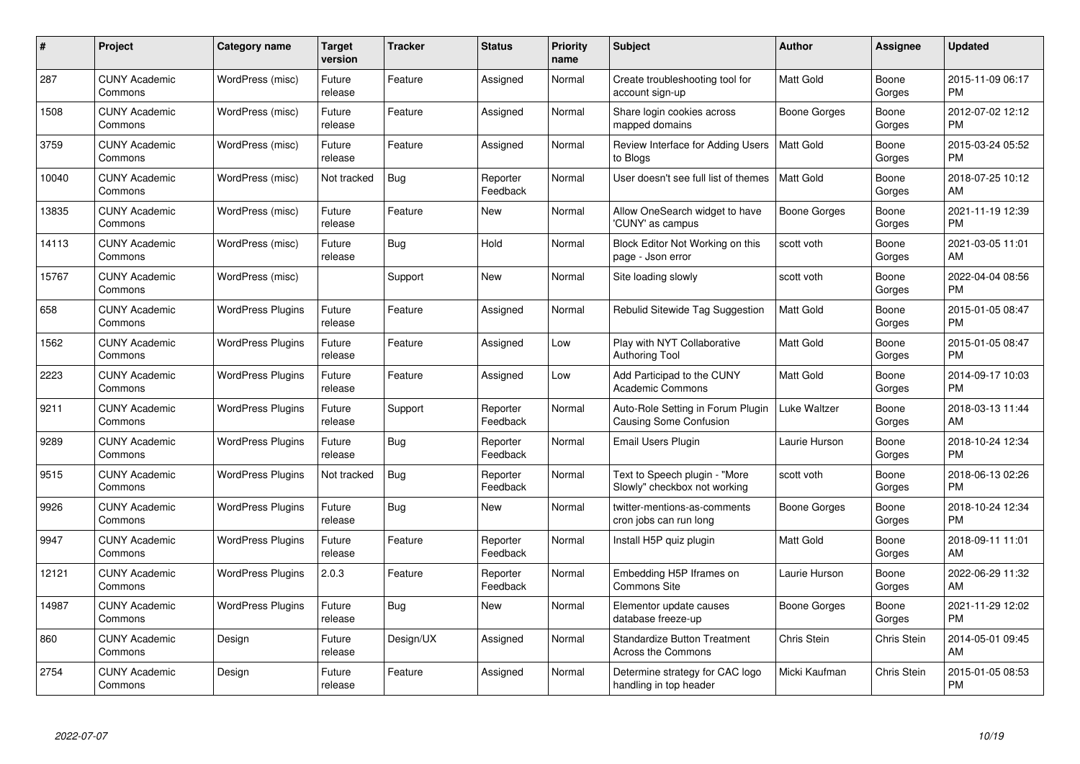| #     | Project                         | <b>Category name</b>     | <b>Target</b><br>version | Tracker    | <b>Status</b>        | <b>Priority</b><br>name | <b>Subject</b>                                                     | <b>Author</b>       | Assignee           | <b>Updated</b>                |
|-------|---------------------------------|--------------------------|--------------------------|------------|----------------------|-------------------------|--------------------------------------------------------------------|---------------------|--------------------|-------------------------------|
| 287   | <b>CUNY Academic</b><br>Commons | WordPress (misc)         | Future<br>release        | Feature    | Assigned             | Normal                  | Create troubleshooting tool for<br>account sign-up                 | <b>Matt Gold</b>    | Boone<br>Gorges    | 2015-11-09 06:17<br><b>PM</b> |
| 1508  | <b>CUNY Academic</b><br>Commons | WordPress (misc)         | Future<br>release        | Feature    | Assigned             | Normal                  | Share login cookies across<br>mapped domains                       | Boone Gorges        | Boone<br>Gorges    | 2012-07-02 12:12<br><b>PM</b> |
| 3759  | <b>CUNY Academic</b><br>Commons | WordPress (misc)         | Future<br>release        | Feature    | Assigned             | Normal                  | Review Interface for Adding Users<br>to Blogs                      | <b>Matt Gold</b>    | Boone<br>Gorges    | 2015-03-24 05:52<br><b>PM</b> |
| 10040 | <b>CUNY Academic</b><br>Commons | WordPress (misc)         | Not tracked              | <b>Bug</b> | Reporter<br>Feedback | Normal                  | User doesn't see full list of themes                               | <b>Matt Gold</b>    | Boone<br>Gorges    | 2018-07-25 10:12<br>AM        |
| 13835 | <b>CUNY Academic</b><br>Commons | WordPress (misc)         | Future<br>release        | Feature    | <b>New</b>           | Normal                  | Allow OneSearch widget to have<br>'CUNY' as campus                 | <b>Boone Gorges</b> | Boone<br>Gorges    | 2021-11-19 12:39<br><b>PM</b> |
| 14113 | <b>CUNY Academic</b><br>Commons | WordPress (misc)         | Future<br>release        | Bug        | Hold                 | Normal                  | Block Editor Not Working on this<br>page - Json error              | scott voth          | Boone<br>Gorges    | 2021-03-05 11:01<br>AM        |
| 15767 | <b>CUNY Academic</b><br>Commons | WordPress (misc)         |                          | Support    | <b>New</b>           | Normal                  | Site loading slowly                                                | scott voth          | Boone<br>Gorges    | 2022-04-04 08:56<br>PM        |
| 658   | <b>CUNY Academic</b><br>Commons | <b>WordPress Plugins</b> | Future<br>release        | Feature    | Assigned             | Normal                  | Rebulid Sitewide Tag Suggestion                                    | <b>Matt Gold</b>    | Boone<br>Gorges    | 2015-01-05 08:47<br><b>PM</b> |
| 1562  | <b>CUNY Academic</b><br>Commons | <b>WordPress Plugins</b> | Future<br>release        | Feature    | Assigned             | Low                     | Play with NYT Collaborative<br><b>Authoring Tool</b>               | Matt Gold           | Boone<br>Gorges    | 2015-01-05 08:47<br><b>PM</b> |
| 2223  | <b>CUNY Academic</b><br>Commons | <b>WordPress Plugins</b> | Future<br>release        | Feature    | Assigned             | Low                     | Add Participad to the CUNY<br><b>Academic Commons</b>              | Matt Gold           | Boone<br>Gorges    | 2014-09-17 10:03<br><b>PM</b> |
| 9211  | <b>CUNY Academic</b><br>Commons | <b>WordPress Plugins</b> | Future<br>release        | Support    | Reporter<br>Feedback | Normal                  | Auto-Role Setting in Forum Plugin<br><b>Causing Some Confusion</b> | Luke Waltzer        | Boone<br>Gorges    | 2018-03-13 11:44<br>AM        |
| 9289  | <b>CUNY Academic</b><br>Commons | <b>WordPress Plugins</b> | Future<br>release        | <b>Bug</b> | Reporter<br>Feedback | Normal                  | Email Users Plugin                                                 | Laurie Hurson       | Boone<br>Gorges    | 2018-10-24 12:34<br><b>PM</b> |
| 9515  | <b>CUNY Academic</b><br>Commons | <b>WordPress Plugins</b> | Not tracked              | <b>Bug</b> | Reporter<br>Feedback | Normal                  | Text to Speech plugin - "More<br>Slowly" checkbox not working      | scott voth          | Boone<br>Gorges    | 2018-06-13 02:26<br>PM        |
| 9926  | <b>CUNY Academic</b><br>Commons | <b>WordPress Plugins</b> | Future<br>release        | <b>Bug</b> | New                  | Normal                  | twitter-mentions-as-comments<br>cron jobs can run long             | Boone Gorges        | Boone<br>Gorges    | 2018-10-24 12:34<br><b>PM</b> |
| 9947  | <b>CUNY Academic</b><br>Commons | <b>WordPress Plugins</b> | Future<br>release        | Feature    | Reporter<br>Feedback | Normal                  | Install H5P quiz plugin                                            | <b>Matt Gold</b>    | Boone<br>Gorges    | 2018-09-11 11:01<br>AM        |
| 12121 | <b>CUNY Academic</b><br>Commons | <b>WordPress Plugins</b> | 2.0.3                    | Feature    | Reporter<br>Feedback | Normal                  | Embedding H5P Iframes on<br>Commons Site                           | Laurie Hurson       | Boone<br>Gorges    | 2022-06-29 11:32<br>AM        |
| 14987 | <b>CUNY Academic</b><br>Commons | <b>WordPress Plugins</b> | Future<br>release        | Bug        | New                  | Normal                  | Elementor update causes<br>database freeze-up                      | Boone Gorges        | Boone<br>Gorges    | 2021-11-29 12:02<br><b>PM</b> |
| 860   | <b>CUNY Academic</b><br>Commons | Design                   | Future<br>release        | Design/UX  | Assigned             | Normal                  | <b>Standardize Button Treatment</b><br>Across the Commons          | Chris Stein         | Chris Stein        | 2014-05-01 09:45<br>AM        |
| 2754  | <b>CUNY Academic</b><br>Commons | Design                   | Future<br>release        | Feature    | Assigned             | Normal                  | Determine strategy for CAC logo<br>handling in top header          | Micki Kaufman       | <b>Chris Stein</b> | 2015-01-05 08:53<br>PM        |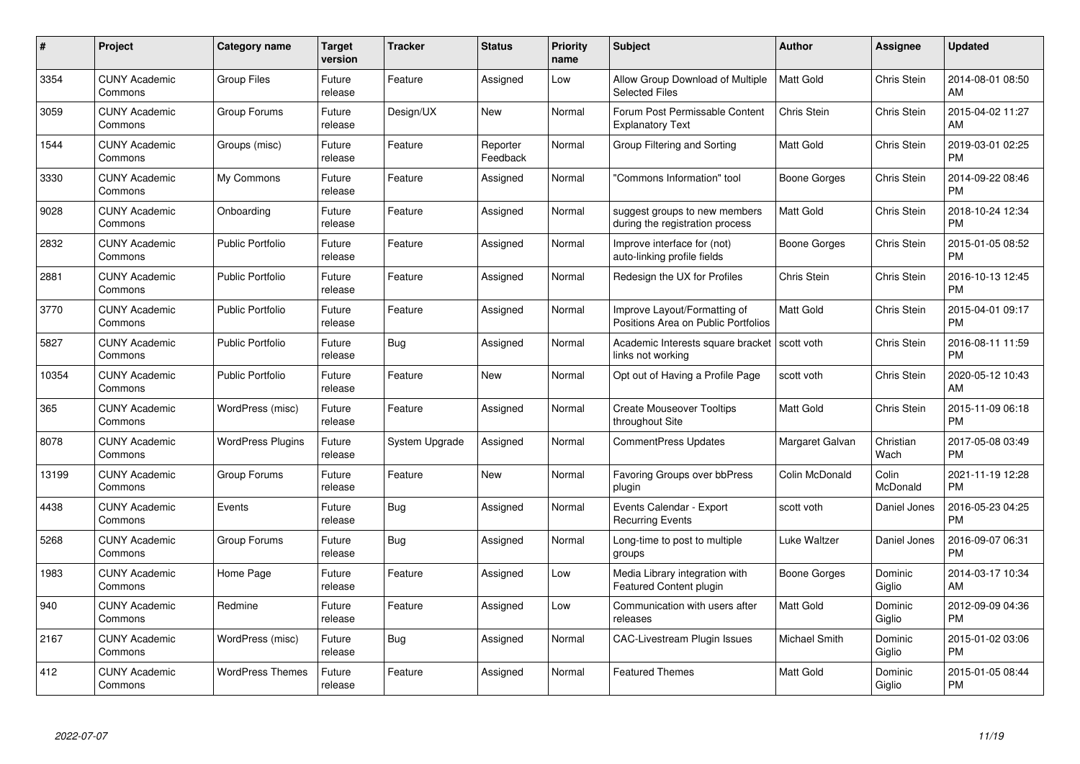| $\#$  | Project                         | <b>Category name</b>     | <b>Target</b><br>version | <b>Tracker</b> | <b>Status</b>        | <b>Priority</b><br>name | <b>Subject</b>                                                      | <b>Author</b>    | <b>Assignee</b>    | <b>Updated</b>                |
|-------|---------------------------------|--------------------------|--------------------------|----------------|----------------------|-------------------------|---------------------------------------------------------------------|------------------|--------------------|-------------------------------|
| 3354  | <b>CUNY Academic</b><br>Commons | <b>Group Files</b>       | Future<br>release        | Feature        | Assigned             | Low                     | Allow Group Download of Multiple<br><b>Selected Files</b>           | <b>Matt Gold</b> | <b>Chris Stein</b> | 2014-08-01 08:50<br>AM        |
| 3059  | <b>CUNY Academic</b><br>Commons | Group Forums             | Future<br>release        | Design/UX      | <b>New</b>           | Normal                  | Forum Post Permissable Content<br><b>Explanatory Text</b>           | Chris Stein      | <b>Chris Stein</b> | 2015-04-02 11:27<br>AM        |
| 1544  | <b>CUNY Academic</b><br>Commons | Groups (misc)            | Future<br>release        | Feature        | Reporter<br>Feedback | Normal                  | Group Filtering and Sorting                                         | Matt Gold        | Chris Stein        | 2019-03-01 02:25<br><b>PM</b> |
| 3330  | <b>CUNY Academic</b><br>Commons | My Commons               | Future<br>release        | Feature        | Assigned             | Normal                  | 'Commons Information" tool                                          | Boone Gorges     | Chris Stein        | 2014-09-22 08:46<br><b>PM</b> |
| 9028  | <b>CUNY Academic</b><br>Commons | Onboarding               | Future<br>release        | Feature        | Assigned             | Normal                  | suggest groups to new members<br>during the registration process    | <b>Matt Gold</b> | Chris Stein        | 2018-10-24 12:34<br><b>PM</b> |
| 2832  | <b>CUNY Academic</b><br>Commons | <b>Public Portfolio</b>  | Future<br>release        | Feature        | Assigned             | Normal                  | Improve interface for (not)<br>auto-linking profile fields          | Boone Gorges     | Chris Stein        | 2015-01-05 08:52<br><b>PM</b> |
| 2881  | <b>CUNY Academic</b><br>Commons | <b>Public Portfolio</b>  | Future<br>release        | Feature        | Assigned             | Normal                  | Redesign the UX for Profiles                                        | Chris Stein      | Chris Stein        | 2016-10-13 12:45<br><b>PM</b> |
| 3770  | <b>CUNY Academic</b><br>Commons | <b>Public Portfolio</b>  | Future<br>release        | Feature        | Assigned             | Normal                  | Improve Layout/Formatting of<br>Positions Area on Public Portfolios | <b>Matt Gold</b> | Chris Stein        | 2015-04-01 09:17<br><b>PM</b> |
| 5827  | <b>CUNY Academic</b><br>Commons | <b>Public Portfolio</b>  | Future<br>release        | Bug            | Assigned             | Normal                  | Academic Interests square bracket<br>links not working              | scott voth       | <b>Chris Stein</b> | 2016-08-11 11:59<br><b>PM</b> |
| 10354 | <b>CUNY Academic</b><br>Commons | <b>Public Portfolio</b>  | Future<br>release        | Feature        | New                  | Normal                  | Opt out of Having a Profile Page                                    | scott voth       | Chris Stein        | 2020-05-12 10:43<br>AM        |
| 365   | <b>CUNY Academic</b><br>Commons | WordPress (misc)         | Future<br>release        | Feature        | Assigned             | Normal                  | <b>Create Mouseover Tooltips</b><br>throughout Site                 | <b>Matt Gold</b> | Chris Stein        | 2015-11-09 06:18<br><b>PM</b> |
| 8078  | <b>CUNY Academic</b><br>Commons | <b>WordPress Plugins</b> | Future<br>release        | System Upgrade | Assigned             | Normal                  | <b>CommentPress Updates</b>                                         | Margaret Galvan  | Christian<br>Wach  | 2017-05-08 03:49<br><b>PM</b> |
| 13199 | <b>CUNY Academic</b><br>Commons | Group Forums             | Future<br>release        | Feature        | New                  | Normal                  | Favoring Groups over bbPress<br>plugin                              | Colin McDonald   | Colin<br>McDonald  | 2021-11-19 12:28<br><b>PM</b> |
| 4438  | <b>CUNY Academic</b><br>Commons | Events                   | Future<br>release        | Bug            | Assigned             | Normal                  | Events Calendar - Export<br><b>Recurring Events</b>                 | scott voth       | Daniel Jones       | 2016-05-23 04:25<br><b>PM</b> |
| 5268  | <b>CUNY Academic</b><br>Commons | Group Forums             | Future<br>release        | <b>Bug</b>     | Assigned             | Normal                  | Long-time to post to multiple<br>groups                             | Luke Waltzer     | Daniel Jones       | 2016-09-07 06:31<br><b>PM</b> |
| 1983  | <b>CUNY Academic</b><br>Commons | Home Page                | Future<br>release        | Feature        | Assigned             | Low                     | Media Library integration with<br>Featured Content plugin           | Boone Gorges     | Dominic<br>Giglio  | 2014-03-17 10:34<br>AM        |
| 940   | <b>CUNY Academic</b><br>Commons | Redmine                  | Future<br>release        | Feature        | Assigned             | Low                     | Communication with users after<br>releases                          | <b>Matt Gold</b> | Dominic<br>Giglio  | 2012-09-09 04:36<br><b>PM</b> |
| 2167  | <b>CUNY Academic</b><br>Commons | WordPress (misc)         | Future<br>release        | <b>Bug</b>     | Assigned             | Normal                  | CAC-Livestream Plugin Issues                                        | Michael Smith    | Dominic<br>Giglio  | 2015-01-02 03:06<br><b>PM</b> |
| 412   | CUNY Academic<br>Commons        | <b>WordPress Themes</b>  | Future<br>release        | Feature        | Assigned             | Normal                  | <b>Featured Themes</b>                                              | <b>Matt Gold</b> | Dominic<br>Giglio  | 2015-01-05 08:44<br><b>PM</b> |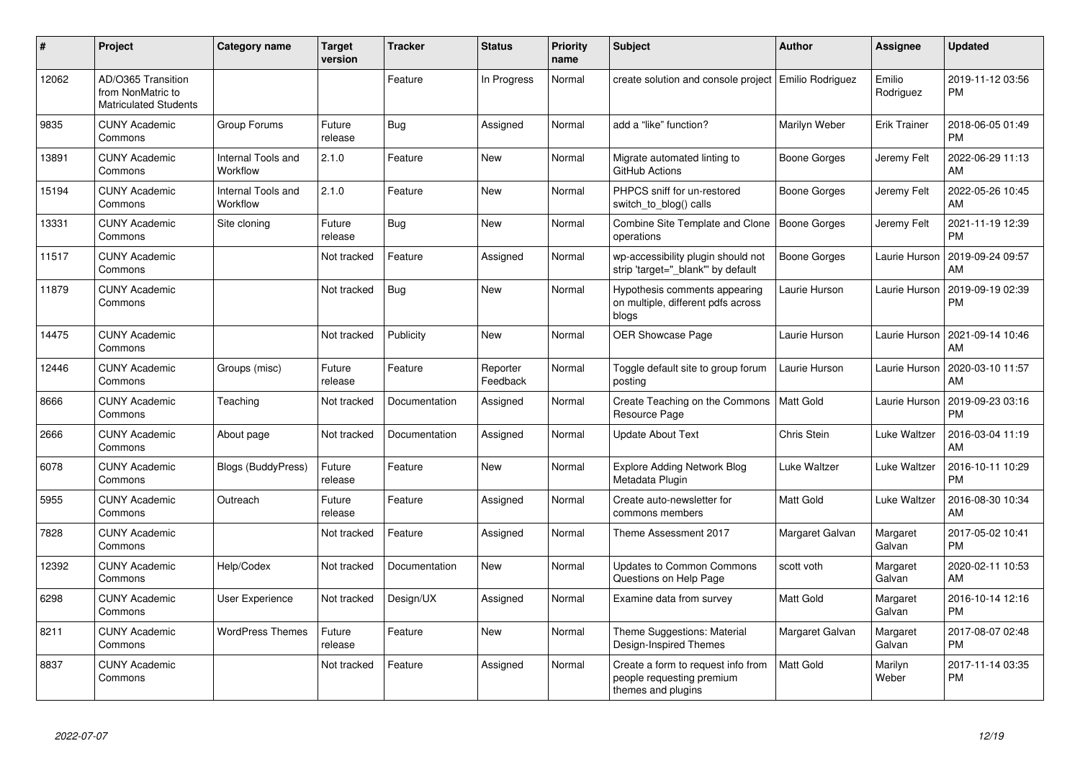| #     | Project                                                                 | Category name                  | <b>Target</b><br>version | <b>Tracker</b> | <b>Status</b>        | <b>Priority</b><br>name | <b>Subject</b>                                                                        | <b>Author</b>    | <b>Assignee</b>     | <b>Updated</b>                |
|-------|-------------------------------------------------------------------------|--------------------------------|--------------------------|----------------|----------------------|-------------------------|---------------------------------------------------------------------------------------|------------------|---------------------|-------------------------------|
| 12062 | AD/O365 Transition<br>from NonMatric to<br><b>Matriculated Students</b> |                                |                          | Feature        | In Progress          | Normal                  | create solution and console project   Emilio Rodriguez                                |                  | Emilio<br>Rodriguez | 2019-11-12 03:56<br><b>PM</b> |
| 9835  | <b>CUNY Academic</b><br>Commons                                         | Group Forums                   | Future<br>release        | Bug            | Assigned             | Normal                  | add a "like" function?                                                                | Marilyn Weber    | Erik Trainer        | 2018-06-05 01:49<br><b>PM</b> |
| 13891 | <b>CUNY Academic</b><br>Commons                                         | Internal Tools and<br>Workflow | 2.1.0                    | Feature        | New                  | Normal                  | Migrate automated linting to<br>GitHub Actions                                        | Boone Gorges     | Jeremy Felt         | 2022-06-29 11:13<br>AM        |
| 15194 | <b>CUNY Academic</b><br>Commons                                         | Internal Tools and<br>Workflow | 2.1.0                    | Feature        | New                  | Normal                  | PHPCS sniff for un-restored<br>switch to blog() calls                                 | Boone Gorges     | Jeremy Felt         | 2022-05-26 10:45<br>AM        |
| 13331 | <b>CUNY Academic</b><br>Commons                                         | Site cloning                   | Future<br>release        | Bug            | <b>New</b>           | Normal                  | Combine Site Template and Clone<br>operations                                         | Boone Gorges     | Jeremy Felt         | 2021-11-19 12:39<br><b>PM</b> |
| 11517 | <b>CUNY Academic</b><br>Commons                                         |                                | Not tracked              | Feature        | Assigned             | Normal                  | wp-accessibility plugin should not<br>strip 'target=" blank" by default               | Boone Gorges     | Laurie Hurson       | 2019-09-24 09:57<br>AM        |
| 11879 | <b>CUNY Academic</b><br>Commons                                         |                                | Not tracked              | Bug            | <b>New</b>           | Normal                  | Hypothesis comments appearing<br>on multiple, different pdfs across<br>blogs          | Laurie Hurson    | Laurie Hurson       | 2019-09-19 02:39<br><b>PM</b> |
| 14475 | <b>CUNY Academic</b><br>Commons                                         |                                | Not tracked              | Publicity      | New                  | Normal                  | <b>OER Showcase Page</b>                                                              | Laurie Hurson    | Laurie Hurson       | 2021-09-14 10:46<br>AM        |
| 12446 | <b>CUNY Academic</b><br>Commons                                         | Groups (misc)                  | Future<br>release        | Feature        | Reporter<br>Feedback | Normal                  | Toggle default site to group forum<br>posting                                         | Laurie Hurson    | Laurie Hurson       | 2020-03-10 11:57<br>AM        |
| 8666  | <b>CUNY Academic</b><br>Commons                                         | Teaching                       | Not tracked              | Documentation  | Assigned             | Normal                  | Create Teaching on the Commons<br>Resource Page                                       | Matt Gold        | Laurie Hurson       | 2019-09-23 03:16<br><b>PM</b> |
| 2666  | <b>CUNY Academic</b><br>Commons                                         | About page                     | Not tracked              | Documentation  | Assigned             | Normal                  | <b>Update About Text</b>                                                              | Chris Stein      | Luke Waltzer        | 2016-03-04 11:19<br>AM        |
| 6078  | <b>CUNY Academic</b><br>Commons                                         | <b>Blogs (BuddyPress)</b>      | Future<br>release        | Feature        | <b>New</b>           | Normal                  | <b>Explore Adding Network Blog</b><br>Metadata Plugin                                 | Luke Waltzer     | Luke Waltzer        | 2016-10-11 10:29<br><b>PM</b> |
| 5955  | <b>CUNY Academic</b><br>Commons                                         | Outreach                       | Future<br>release        | Feature        | Assigned             | Normal                  | Create auto-newsletter for<br>commons members                                         | <b>Matt Gold</b> | Luke Waltzer        | 2016-08-30 10:34<br>AM        |
| 7828  | <b>CUNY Academic</b><br>Commons                                         |                                | Not tracked              | Feature        | Assigned             | Normal                  | Theme Assessment 2017                                                                 | Margaret Galvan  | Margaret<br>Galvan  | 2017-05-02 10:41<br><b>PM</b> |
| 12392 | <b>CUNY Academic</b><br>Commons                                         | Help/Codex                     | Not tracked              | Documentation  | New                  | Normal                  | <b>Updates to Common Commons</b><br>Questions on Help Page                            | scott voth       | Margaret<br>Galvan  | 2020-02-11 10:53<br>AM        |
| 6298  | <b>CUNY Academic</b><br>Commons                                         | User Experience                | Not tracked              | Design/UX      | Assigned             | Normal                  | Examine data from survey                                                              | <b>Matt Gold</b> | Margaret<br>Galvan  | 2016-10-14 12:16<br><b>PM</b> |
| 8211  | <b>CUNY Academic</b><br>Commons                                         | <b>WordPress Themes</b>        | Future<br>release        | Feature        | New                  | Normal                  | Theme Suggestions: Material<br>Design-Inspired Themes                                 | Margaret Galvan  | Margaret<br>Galvan  | 2017-08-07 02:48<br><b>PM</b> |
| 8837  | <b>CUNY Academic</b><br>Commons                                         |                                | Not tracked              | Feature        | Assigned             | Normal                  | Create a form to request info from<br>people requesting premium<br>themes and plugins | l Matt Gold      | Marilyn<br>Weber    | 2017-11-14 03:35<br><b>PM</b> |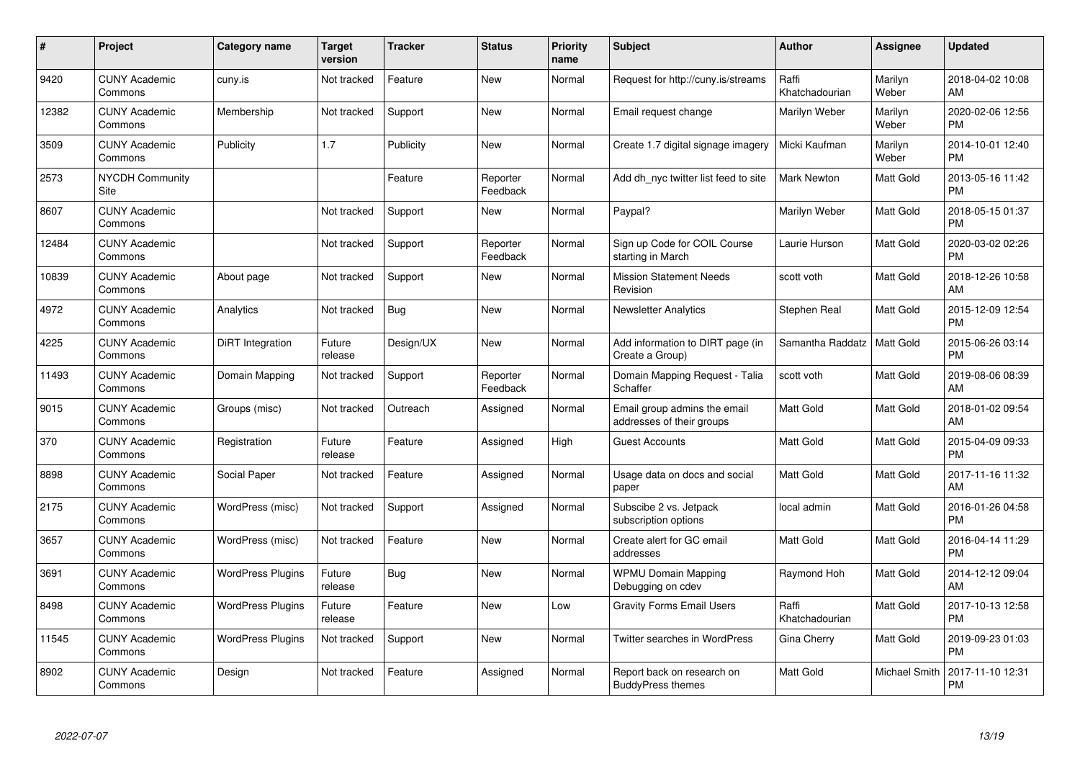| #     | Project                         | Category name            | Target<br>version | <b>Tracker</b> | <b>Status</b>        | <b>Priority</b><br>name | <b>Subject</b>                                            | Author                  | <b>Assignee</b>  | <b>Updated</b>                |
|-------|---------------------------------|--------------------------|-------------------|----------------|----------------------|-------------------------|-----------------------------------------------------------|-------------------------|------------------|-------------------------------|
| 9420  | <b>CUNY Academic</b><br>Commons | cuny.is                  | Not tracked       | Feature        | <b>New</b>           | Normal                  | Request for http://cuny.is/streams                        | Raffi<br>Khatchadourian | Marilyn<br>Weber | 2018-04-02 10:08<br>AM        |
| 12382 | <b>CUNY Academic</b><br>Commons | Membership               | Not tracked       | Support        | <b>New</b>           | Normal                  | Email request change                                      | Marilyn Weber           | Marilyn<br>Weber | 2020-02-06 12:56<br><b>PM</b> |
| 3509  | <b>CUNY Academic</b><br>Commons | Publicity                | 1.7               | Publicity      | New                  | Normal                  | Create 1.7 digital signage imagery                        | Micki Kaufman           | Marilyn<br>Weber | 2014-10-01 12:40<br><b>PM</b> |
| 2573  | <b>NYCDH Community</b><br>Site  |                          |                   | Feature        | Reporter<br>Feedback | Normal                  | Add dh_nyc twitter list feed to site                      | <b>Mark Newton</b>      | Matt Gold        | 2013-05-16 11:42<br><b>PM</b> |
| 8607  | <b>CUNY Academic</b><br>Commons |                          | Not tracked       | Support        | New                  | Normal                  | Paypal?                                                   | Marilyn Weber           | Matt Gold        | 2018-05-15 01:37<br><b>PM</b> |
| 12484 | <b>CUNY Academic</b><br>Commons |                          | Not tracked       | Support        | Reporter<br>Feedback | Normal                  | Sign up Code for COIL Course<br>starting in March         | Laurie Hurson           | Matt Gold        | 2020-03-02 02:26<br><b>PM</b> |
| 10839 | <b>CUNY Academic</b><br>Commons | About page               | Not tracked       | Support        | <b>New</b>           | Normal                  | <b>Mission Statement Needs</b><br>Revision                | scott voth              | Matt Gold        | 2018-12-26 10:58<br>AM        |
| 4972  | <b>CUNY Academic</b><br>Commons | Analytics                | Not tracked       | Bug            | <b>New</b>           | Normal                  | <b>Newsletter Analytics</b>                               | Stephen Real            | Matt Gold        | 2015-12-09 12:54<br><b>PM</b> |
| 4225  | <b>CUNY Academic</b><br>Commons | DiRT Integration         | Future<br>release | Design/UX      | New                  | Normal                  | Add information to DIRT page (in<br>Create a Group)       | Samantha Raddatz        | Matt Gold        | 2015-06-26 03:14<br><b>PM</b> |
| 11493 | <b>CUNY Academic</b><br>Commons | Domain Mapping           | Not tracked       | Support        | Reporter<br>Feedback | Normal                  | Domain Mapping Request - Talia<br>Schaffer                | scott voth              | Matt Gold        | 2019-08-06 08:39<br>AM        |
| 9015  | <b>CUNY Academic</b><br>Commons | Groups (misc)            | Not tracked       | Outreach       | Assigned             | Normal                  | Email group admins the email<br>addresses of their groups | Matt Gold               | Matt Gold        | 2018-01-02 09:54<br>AM        |
| 370   | <b>CUNY Academic</b><br>Commons | Registration             | Future<br>release | Feature        | Assigned             | High                    | <b>Guest Accounts</b>                                     | <b>Matt Gold</b>        | Matt Gold        | 2015-04-09 09:33<br><b>PM</b> |
| 8898  | <b>CUNY Academic</b><br>Commons | Social Paper             | Not tracked       | Feature        | Assigned             | Normal                  | Usage data on docs and social<br>paper                    | <b>Matt Gold</b>        | Matt Gold        | 2017-11-16 11:32<br>AM        |
| 2175  | <b>CUNY Academic</b><br>Commons | WordPress (misc)         | Not tracked       | Support        | Assigned             | Normal                  | Subscibe 2 vs. Jetpack<br>subscription options            | local admin             | Matt Gold        | 2016-01-26 04:58<br><b>PM</b> |
| 3657  | <b>CUNY Academic</b><br>Commons | WordPress (misc)         | Not tracked       | Feature        | New                  | Normal                  | Create alert for GC email<br>addresses                    | <b>Matt Gold</b>        | Matt Gold        | 2016-04-14 11:29<br><b>PM</b> |
| 3691  | <b>CUNY Academic</b><br>Commons | <b>WordPress Plugins</b> | Future<br>release | <b>Bug</b>     | New                  | Normal                  | <b>WPMU Domain Mapping</b><br>Debugging on cdev           | Raymond Hoh             | Matt Gold        | 2014-12-12 09:04<br>AM        |
| 8498  | <b>CUNY Academic</b><br>Commons | <b>WordPress Plugins</b> | Future<br>release | Feature        | New                  | Low                     | <b>Gravity Forms Email Users</b>                          | Raffi<br>Khatchadourian | Matt Gold        | 2017-10-13 12:58<br><b>PM</b> |
| 11545 | <b>CUNY Academic</b><br>Commons | <b>WordPress Plugins</b> | Not tracked       | Support        | New                  | Normal                  | Twitter searches in WordPress                             | Gina Cherry             | Matt Gold        | 2019-09-23 01:03<br><b>PM</b> |
| 8902  | <b>CUNY Academic</b><br>Commons | Design                   | Not tracked       | Feature        | Assigned             | Normal                  | Report back on research on<br><b>BuddyPress themes</b>    | Matt Gold               | Michael Smith    | 2017-11-10 12:31<br><b>PM</b> |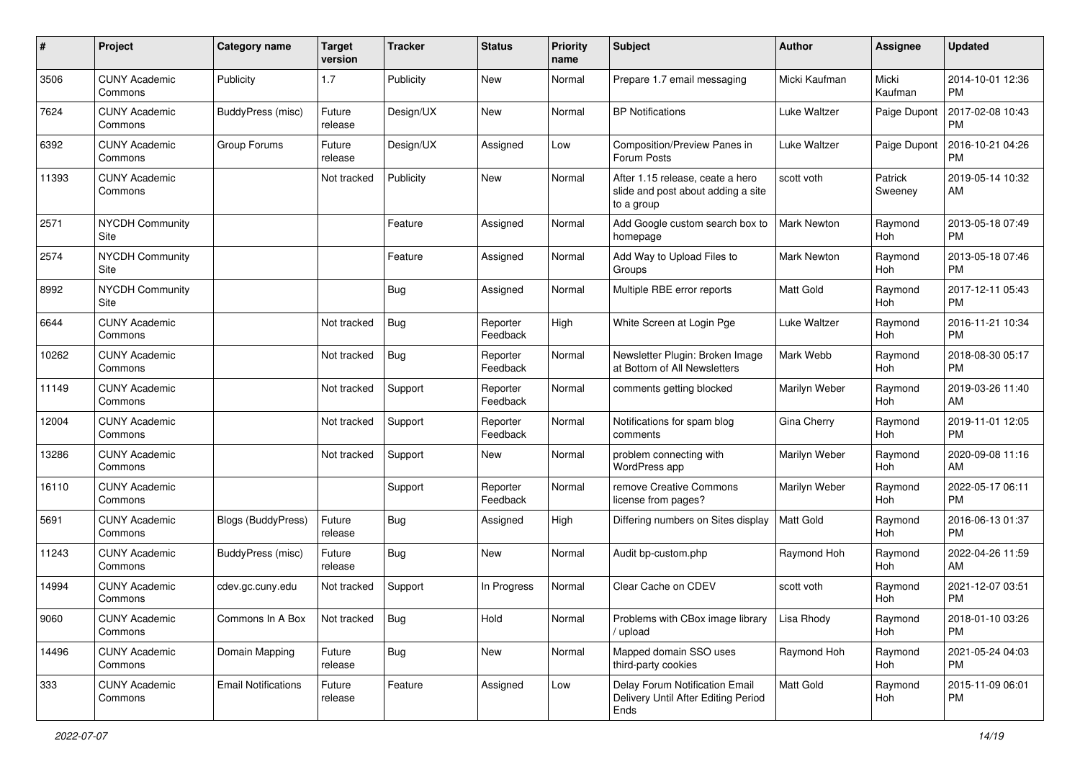| #     | Project                         | <b>Category name</b>       | <b>Target</b><br>version | <b>Tracker</b> | <b>Status</b>        | <b>Priority</b><br>name | <b>Subject</b>                                                                       | Author             | <b>Assignee</b>    | <b>Updated</b>                |
|-------|---------------------------------|----------------------------|--------------------------|----------------|----------------------|-------------------------|--------------------------------------------------------------------------------------|--------------------|--------------------|-------------------------------|
| 3506  | <b>CUNY Academic</b><br>Commons | Publicity                  | 1.7                      | Publicity      | <b>New</b>           | Normal                  | Prepare 1.7 email messaging                                                          | Micki Kaufman      | Micki<br>Kaufman   | 2014-10-01 12:36<br><b>PM</b> |
| 7624  | <b>CUNY Academic</b><br>Commons | <b>BuddyPress (misc)</b>   | Future<br>release        | Design/UX      | New                  | Normal                  | <b>BP</b> Notifications                                                              | Luke Waltzer       | Paige Dupont       | 2017-02-08 10:43<br><b>PM</b> |
| 6392  | <b>CUNY Academic</b><br>Commons | Group Forums               | Future<br>release        | Design/UX      | Assigned             | Low                     | Composition/Preview Panes in<br>Forum Posts                                          | Luke Waltzer       | Paige Dupont       | 2016-10-21 04:26<br><b>PM</b> |
| 11393 | <b>CUNY Academic</b><br>Commons |                            | Not tracked              | Publicity      | <b>New</b>           | Normal                  | After 1.15 release, ceate a hero<br>slide and post about adding a site<br>to a group | scott voth         | Patrick<br>Sweeney | 2019-05-14 10:32<br>AM        |
| 2571  | <b>NYCDH Community</b><br>Site  |                            |                          | Feature        | Assigned             | Normal                  | Add Google custom search box to<br>homepage                                          | <b>Mark Newton</b> | Raymond<br>Hoh     | 2013-05-18 07:49<br><b>PM</b> |
| 2574  | <b>NYCDH Community</b><br>Site  |                            |                          | Feature        | Assigned             | Normal                  | Add Way to Upload Files to<br>Groups                                                 | Mark Newton        | Raymond<br>Hoh     | 2013-05-18 07:46<br><b>PM</b> |
| 8992  | <b>NYCDH Community</b><br>Site  |                            |                          | <b>Bug</b>     | Assigned             | Normal                  | Multiple RBE error reports                                                           | <b>Matt Gold</b>   | Raymond<br>Hoh     | 2017-12-11 05:43<br><b>PM</b> |
| 6644  | <b>CUNY Academic</b><br>Commons |                            | Not tracked              | <b>Bug</b>     | Reporter<br>Feedback | High                    | White Screen at Login Pge                                                            | Luke Waltzer       | Raymond<br>Hoh     | 2016-11-21 10:34<br><b>PM</b> |
| 10262 | <b>CUNY Academic</b><br>Commons |                            | Not tracked              | <b>Bug</b>     | Reporter<br>Feedback | Normal                  | Newsletter Plugin: Broken Image<br>at Bottom of All Newsletters                      | Mark Webb          | Raymond<br>Hoh     | 2018-08-30 05:17<br><b>PM</b> |
| 11149 | <b>CUNY Academic</b><br>Commons |                            | Not tracked              | Support        | Reporter<br>Feedback | Normal                  | comments getting blocked                                                             | Marilyn Weber      | Raymond<br>Hoh     | 2019-03-26 11:40<br>AM        |
| 12004 | <b>CUNY Academic</b><br>Commons |                            | Not tracked              | Support        | Reporter<br>Feedback | Normal                  | Notifications for spam blog<br>comments                                              | Gina Cherry        | Raymond<br>Hoh     | 2019-11-01 12:05<br><b>PM</b> |
| 13286 | <b>CUNY Academic</b><br>Commons |                            | Not tracked              | Support        | New                  | Normal                  | problem connecting with<br>WordPress app                                             | Marilyn Weber      | Raymond<br>Hoh     | 2020-09-08 11:16<br>AM        |
| 16110 | <b>CUNY Academic</b><br>Commons |                            |                          | Support        | Reporter<br>Feedback | Normal                  | remove Creative Commons<br>license from pages?                                       | Marilyn Weber      | Raymond<br>Hoh     | 2022-05-17 06:11<br><b>PM</b> |
| 5691  | <b>CUNY Academic</b><br>Commons | <b>Blogs (BuddyPress)</b>  | Future<br>release        | Bug            | Assigned             | High                    | Differing numbers on Sites display                                                   | Matt Gold          | Raymond<br>Hoh     | 2016-06-13 01:37<br><b>PM</b> |
| 11243 | <b>CUNY Academic</b><br>Commons | BuddyPress (misc)          | Future<br>release        | Bug            | New                  | Normal                  | Audit bp-custom.php                                                                  | Raymond Hoh        | Raymond<br>Hoh     | 2022-04-26 11:59<br>AM        |
| 14994 | <b>CUNY Academic</b><br>Commons | cdev.gc.cuny.edu           | Not tracked              | Support        | In Progress          | Normal                  | Clear Cache on CDEV                                                                  | scott voth         | Raymond<br>Hoh     | 2021-12-07 03:51<br><b>PM</b> |
| 9060  | <b>CUNY Academic</b><br>Commons | Commons In A Box           | Not tracked              | Bug            | Hold                 | Normal                  | Problems with CBox image library<br>upload                                           | Lisa Rhody         | Raymond<br>Hoh     | 2018-01-10 03:26<br><b>PM</b> |
| 14496 | <b>CUNY Academic</b><br>Commons | Domain Mapping             | Future<br>release        | Bug            | New                  | Normal                  | Mapped domain SSO uses<br>third-party cookies                                        | Raymond Hoh        | Raymond<br>Hoh     | 2021-05-24 04:03<br><b>PM</b> |
| 333   | <b>CUNY Academic</b><br>Commons | <b>Email Notifications</b> | Future<br>release        | Feature        | Assigned             | Low                     | Delay Forum Notification Email<br>Delivery Until After Editing Period<br>Ends        | Matt Gold          | Raymond<br>Hoh     | 2015-11-09 06:01<br><b>PM</b> |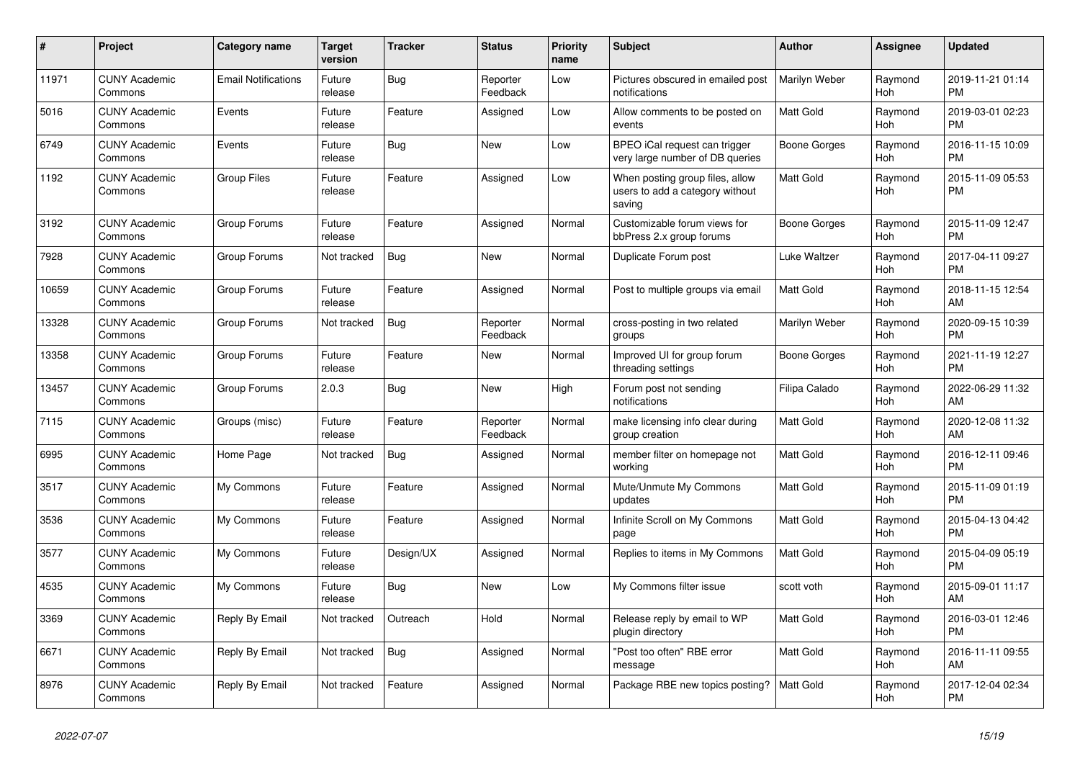| #     | <b>Project</b>                  | <b>Category name</b>       | <b>Target</b><br>version | <b>Tracker</b> | <b>Status</b>        | <b>Priority</b><br>name | <b>Subject</b>                                                               | Author              | Assignee       | <b>Updated</b>                |
|-------|---------------------------------|----------------------------|--------------------------|----------------|----------------------|-------------------------|------------------------------------------------------------------------------|---------------------|----------------|-------------------------------|
| 11971 | <b>CUNY Academic</b><br>Commons | <b>Email Notifications</b> | Future<br>release        | Bug            | Reporter<br>Feedback | Low                     | Pictures obscured in emailed post<br>notifications                           | Marilyn Weber       | Raymond<br>Hoh | 2019-11-21 01:14<br><b>PM</b> |
| 5016  | <b>CUNY Academic</b><br>Commons | Events                     | Future<br>release        | Feature        | Assigned             | Low                     | Allow comments to be posted on<br>events                                     | <b>Matt Gold</b>    | Raymond<br>Hoh | 2019-03-01 02:23<br><b>PM</b> |
| 6749  | <b>CUNY Academic</b><br>Commons | Events                     | Future<br>release        | Bug            | New                  | Low                     | BPEO iCal request can trigger<br>very large number of DB queries             | Boone Gorges        | Raymond<br>Hoh | 2016-11-15 10:09<br><b>PM</b> |
| 1192  | <b>CUNY Academic</b><br>Commons | <b>Group Files</b>         | Future<br>release        | Feature        | Assigned             | Low                     | When posting group files, allow<br>users to add a category without<br>saving | <b>Matt Gold</b>    | Raymond<br>Hoh | 2015-11-09 05:53<br><b>PM</b> |
| 3192  | <b>CUNY Academic</b><br>Commons | Group Forums               | Future<br>release        | Feature        | Assigned             | Normal                  | Customizable forum views for<br>bbPress 2.x group forums                     | Boone Gorges        | Raymond<br>Hoh | 2015-11-09 12:47<br><b>PM</b> |
| 7928  | <b>CUNY Academic</b><br>Commons | Group Forums               | Not tracked              | Bug            | New                  | Normal                  | Duplicate Forum post                                                         | Luke Waltzer        | Raymond<br>Hoh | 2017-04-11 09:27<br><b>PM</b> |
| 10659 | <b>CUNY Academic</b><br>Commons | Group Forums               | Future<br>release        | Feature        | Assigned             | Normal                  | Post to multiple groups via email                                            | <b>Matt Gold</b>    | Raymond<br>Hoh | 2018-11-15 12:54<br>AM        |
| 13328 | <b>CUNY Academic</b><br>Commons | Group Forums               | Not tracked              | <b>Bug</b>     | Reporter<br>Feedback | Normal                  | cross-posting in two related<br>groups                                       | Marilyn Weber       | Raymond<br>Hoh | 2020-09-15 10:39<br><b>PM</b> |
| 13358 | <b>CUNY Academic</b><br>Commons | Group Forums               | Future<br>release        | Feature        | New                  | Normal                  | Improved UI for group forum<br>threading settings                            | <b>Boone Gorges</b> | Raymond<br>Hoh | 2021-11-19 12:27<br><b>PM</b> |
| 13457 | <b>CUNY Academic</b><br>Commons | Group Forums               | 2.0.3                    | Bug            | <b>New</b>           | High                    | Forum post not sending<br>notifications                                      | Filipa Calado       | Raymond<br>Hoh | 2022-06-29 11:32<br>AM        |
| 7115  | <b>CUNY Academic</b><br>Commons | Groups (misc)              | Future<br>release        | Feature        | Reporter<br>Feedback | Normal                  | make licensing info clear during<br>group creation                           | <b>Matt Gold</b>    | Raymond<br>Hoh | 2020-12-08 11:32<br>AM        |
| 6995  | <b>CUNY Academic</b><br>Commons | Home Page                  | Not tracked              | <b>Bug</b>     | Assigned             | Normal                  | member filter on homepage not<br>working                                     | <b>Matt Gold</b>    | Raymond<br>Hoh | 2016-12-11 09:46<br><b>PM</b> |
| 3517  | <b>CUNY Academic</b><br>Commons | My Commons                 | Future<br>release        | Feature        | Assigned             | Normal                  | Mute/Unmute My Commons<br>updates                                            | <b>Matt Gold</b>    | Raymond<br>Hoh | 2015-11-09 01:19<br><b>PM</b> |
| 3536  | <b>CUNY Academic</b><br>Commons | My Commons                 | Future<br>release        | Feature        | Assigned             | Normal                  | Infinite Scroll on My Commons<br>page                                        | <b>Matt Gold</b>    | Raymond<br>Hoh | 2015-04-13 04:42<br><b>PM</b> |
| 3577  | <b>CUNY Academic</b><br>Commons | My Commons                 | Future<br>release        | Design/UX      | Assigned             | Normal                  | Replies to items in My Commons                                               | <b>Matt Gold</b>    | Raymond<br>Hoh | 2015-04-09 05:19<br><b>PM</b> |
| 4535  | <b>CUNY Academic</b><br>Commons | My Commons                 | Future<br>release        | Bug            | <b>New</b>           | Low                     | My Commons filter issue                                                      | scott voth          | Raymond<br>Hoh | 2015-09-01 11:17<br>AM        |
| 3369  | <b>CUNY Academic</b><br>Commons | Reply By Email             | Not tracked              | Outreach       | Hold                 | Normal                  | Release reply by email to WP<br>plugin directory                             | <b>Matt Gold</b>    | Raymond<br>Hoh | 2016-03-01 12:46<br><b>PM</b> |
| 6671  | <b>CUNY Academic</b><br>Commons | Reply By Email             | Not tracked              | Bug            | Assigned             | Normal                  | "Post too often" RBE error<br>message                                        | <b>Matt Gold</b>    | Raymond<br>Hoh | 2016-11-11 09:55<br>AM        |
| 8976  | <b>CUNY Academic</b><br>Commons | Reply By Email             | Not tracked              | Feature        | Assigned             | Normal                  | Package RBE new topics posting?                                              | <b>Matt Gold</b>    | Raymond<br>Hoh | 2017-12-04 02:34<br><b>PM</b> |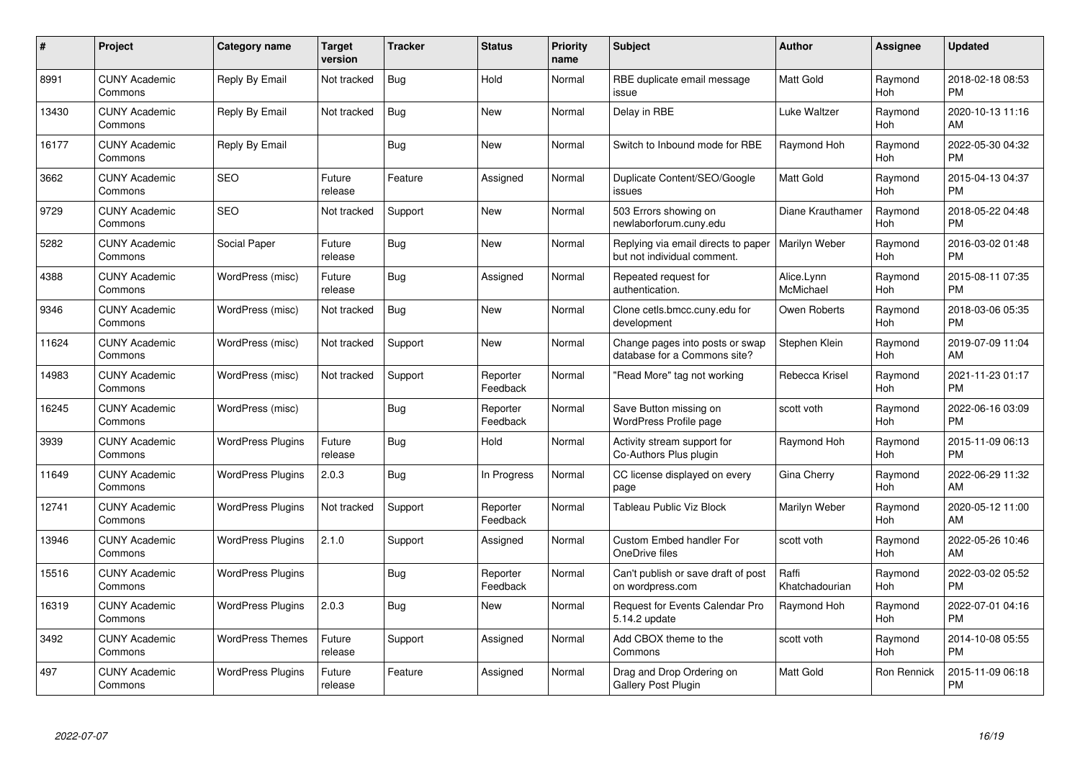| $\#$  | Project                         | <b>Category name</b>     | <b>Target</b><br>version | <b>Tracker</b> | <b>Status</b>        | <b>Priority</b><br>name | <b>Subject</b>                                                     | <b>Author</b>           | <b>Assignee</b> | <b>Updated</b>                |
|-------|---------------------------------|--------------------------|--------------------------|----------------|----------------------|-------------------------|--------------------------------------------------------------------|-------------------------|-----------------|-------------------------------|
| 8991  | <b>CUNY Academic</b><br>Commons | Reply By Email           | Not tracked              | Bug            | Hold                 | Normal                  | RBE duplicate email message<br>issue                               | <b>Matt Gold</b>        | Raymond<br>Hoh  | 2018-02-18 08:53<br><b>PM</b> |
| 13430 | <b>CUNY Academic</b><br>Commons | Reply By Email           | Not tracked              | Bug            | <b>New</b>           | Normal                  | Delay in RBE                                                       | Luke Waltzer            | Raymond<br>Hoh  | 2020-10-13 11:16<br>AM        |
| 16177 | <b>CUNY Academic</b><br>Commons | Reply By Email           |                          | <b>Bug</b>     | New                  | Normal                  | Switch to Inbound mode for RBE                                     | Raymond Hoh             | Raymond<br>Hoh  | 2022-05-30 04:32<br><b>PM</b> |
| 3662  | <b>CUNY Academic</b><br>Commons | <b>SEO</b>               | Future<br>release        | Feature        | Assigned             | Normal                  | Duplicate Content/SEO/Google<br>issues                             | <b>Matt Gold</b>        | Raymond<br>Hoh  | 2015-04-13 04:37<br><b>PM</b> |
| 9729  | <b>CUNY Academic</b><br>Commons | <b>SEO</b>               | Not tracked              | Support        | New                  | Normal                  | 503 Errors showing on<br>newlaborforum.cuny.edu                    | Diane Krauthamer        | Raymond<br>Hoh  | 2018-05-22 04:48<br><b>PM</b> |
| 5282  | <b>CUNY Academic</b><br>Commons | Social Paper             | Future<br>release        | <b>Bug</b>     | <b>New</b>           | Normal                  | Replying via email directs to paper<br>but not individual comment. | Marilyn Weber           | Raymond<br>Hoh  | 2016-03-02 01:48<br><b>PM</b> |
| 4388  | <b>CUNY Academic</b><br>Commons | WordPress (misc)         | Future<br>release        | <b>Bug</b>     | Assigned             | Normal                  | Repeated request for<br>authentication.                            | Alice.Lynn<br>McMichael | Raymond<br>Hoh  | 2015-08-11 07:35<br><b>PM</b> |
| 9346  | <b>CUNY Academic</b><br>Commons | WordPress (misc)         | Not tracked              | Bug            | <b>New</b>           | Normal                  | Clone cetls.bmcc.cuny.edu for<br>development                       | Owen Roberts            | Raymond<br>Hoh  | 2018-03-06 05:35<br><b>PM</b> |
| 11624 | <b>CUNY Academic</b><br>Commons | WordPress (misc)         | Not tracked              | Support        | New                  | Normal                  | Change pages into posts or swap<br>database for a Commons site?    | Stephen Klein           | Raymond<br>Hoh  | 2019-07-09 11:04<br>AM        |
| 14983 | <b>CUNY Academic</b><br>Commons | WordPress (misc)         | Not tracked              | Support        | Reporter<br>Feedback | Normal                  | 'Read More" tag not working                                        | Rebecca Krisel          | Raymond<br>Hoh  | 2021-11-23 01:17<br><b>PM</b> |
| 16245 | <b>CUNY Academic</b><br>Commons | WordPress (misc)         |                          | <b>Bug</b>     | Reporter<br>Feedback | Normal                  | Save Button missing on<br>WordPress Profile page                   | scott voth              | Raymond<br>Hoh  | 2022-06-16 03:09<br><b>PM</b> |
| 3939  | <b>CUNY Academic</b><br>Commons | <b>WordPress Plugins</b> | Future<br>release        | <b>Bug</b>     | Hold                 | Normal                  | Activity stream support for<br>Co-Authors Plus plugin              | Raymond Hoh             | Raymond<br>Hoh  | 2015-11-09 06:13<br><b>PM</b> |
| 11649 | <b>CUNY Academic</b><br>Commons | <b>WordPress Plugins</b> | 2.0.3                    | <b>Bug</b>     | In Progress          | Normal                  | CC license displayed on every<br>page                              | Gina Cherry             | Raymond<br>Hoh  | 2022-06-29 11:32<br>AM        |
| 12741 | <b>CUNY Academic</b><br>Commons | <b>WordPress Plugins</b> | Not tracked              | Support        | Reporter<br>Feedback | Normal                  | Tableau Public Viz Block                                           | Marilyn Weber           | Raymond<br>Hoh  | 2020-05-12 11:00<br>AM        |
| 13946 | <b>CUNY Academic</b><br>Commons | <b>WordPress Plugins</b> | 2.1.0                    | Support        | Assigned             | Normal                  | Custom Embed handler For<br>OneDrive files                         | scott voth              | Raymond<br>Hoh  | 2022-05-26 10:46<br>AM        |
| 15516 | <b>CUNY Academic</b><br>Commons | <b>WordPress Plugins</b> |                          | <b>Bug</b>     | Reporter<br>Feedback | Normal                  | Can't publish or save draft of post<br>on wordpress.com            | Raffi<br>Khatchadourian | Raymond<br>Hoh  | 2022-03-02 05:52<br><b>PM</b> |
| 16319 | <b>CUNY Academic</b><br>Commons | <b>WordPress Plugins</b> | 2.0.3                    | Bug            | New                  | Normal                  | Request for Events Calendar Pro<br>5.14.2 update                   | Raymond Hoh             | Raymond<br>Hoh  | 2022-07-01 04:16<br><b>PM</b> |
| 3492  | <b>CUNY Academic</b><br>Commons | <b>WordPress Themes</b>  | Future<br>release        | Support        | Assigned             | Normal                  | Add CBOX theme to the<br>Commons                                   | scott voth              | Raymond<br>Hoh  | 2014-10-08 05:55<br><b>PM</b> |
| 497   | <b>CUNY Academic</b><br>Commons | <b>WordPress Plugins</b> | Future<br>release        | Feature        | Assigned             | Normal                  | Drag and Drop Ordering on<br>Gallery Post Plugin                   | <b>Matt Gold</b>        | Ron Rennick     | 2015-11-09 06:18<br><b>PM</b> |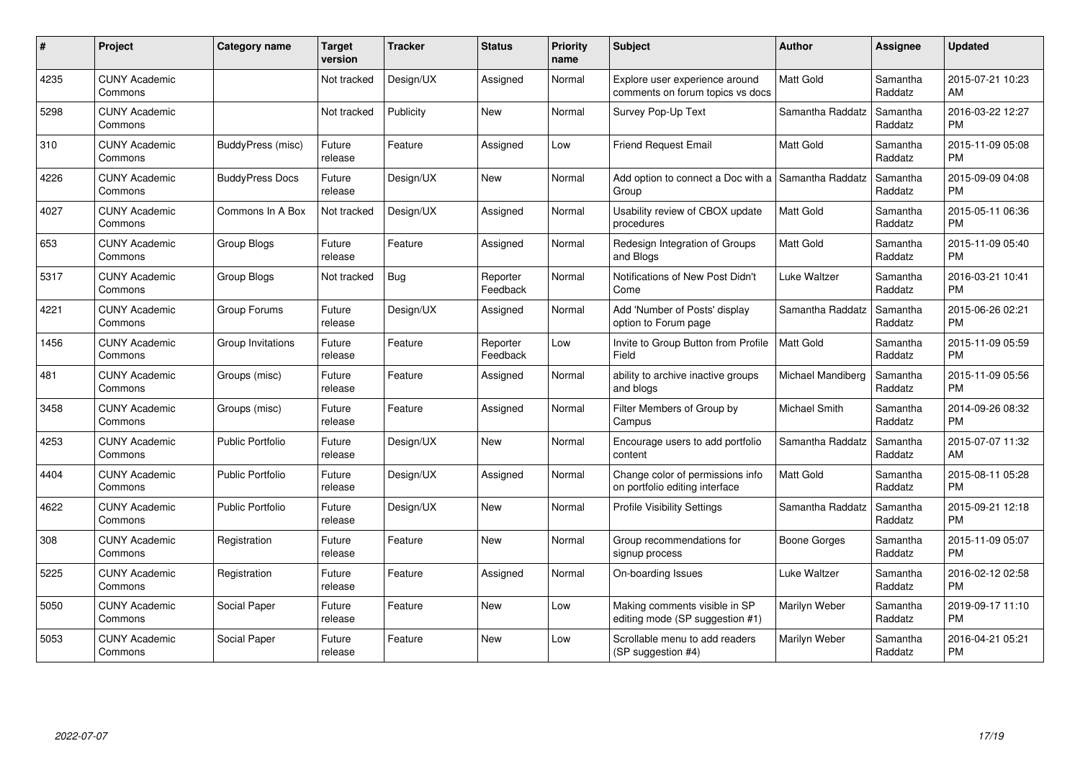| #    | Project                         | Category name           | <b>Target</b><br>version | <b>Tracker</b> | <b>Status</b>        | Priority<br>name | <b>Subject</b>                                                     | <b>Author</b>     | Assignee            | <b>Updated</b>                |
|------|---------------------------------|-------------------------|--------------------------|----------------|----------------------|------------------|--------------------------------------------------------------------|-------------------|---------------------|-------------------------------|
| 4235 | <b>CUNY Academic</b><br>Commons |                         | Not tracked              | Design/UX      | Assigned             | Normal           | Explore user experience around<br>comments on forum topics vs docs | <b>Matt Gold</b>  | Samantha<br>Raddatz | 2015-07-21 10:23<br>AM        |
| 5298 | <b>CUNY Academic</b><br>Commons |                         | Not tracked              | Publicity      | <b>New</b>           | Normal           | Survey Pop-Up Text                                                 | Samantha Raddatz  | Samantha<br>Raddatz | 2016-03-22 12:27<br><b>PM</b> |
| 310  | <b>CUNY Academic</b><br>Commons | BuddyPress (misc)       | Future<br>release        | Feature        | Assigned             | Low              | Friend Request Email                                               | <b>Matt Gold</b>  | Samantha<br>Raddatz | 2015-11-09 05:08<br><b>PM</b> |
| 4226 | <b>CUNY Academic</b><br>Commons | <b>BuddyPress Docs</b>  | Future<br>release        | Design/UX      | New                  | Normal           | Add option to connect a Doc with a Samantha Raddatz<br>Group       |                   | Samantha<br>Raddatz | 2015-09-09 04:08<br><b>PM</b> |
| 4027 | <b>CUNY Academic</b><br>Commons | Commons In A Box        | Not tracked              | Design/UX      | Assigned             | Normal           | Usability review of CBOX update<br>procedures                      | <b>Matt Gold</b>  | Samantha<br>Raddatz | 2015-05-11 06:36<br><b>PM</b> |
| 653  | <b>CUNY Academic</b><br>Commons | Group Blogs             | Future<br>release        | Feature        | Assigned             | Normal           | Redesign Integration of Groups<br>and Blogs                        | <b>Matt Gold</b>  | Samantha<br>Raddatz | 2015-11-09 05:40<br><b>PM</b> |
| 5317 | <b>CUNY Academic</b><br>Commons | <b>Group Blogs</b>      | Not tracked              | <b>Bug</b>     | Reporter<br>Feedback | Normal           | Notifications of New Post Didn't<br>Come                           | Luke Waltzer      | Samantha<br>Raddatz | 2016-03-21 10:41<br><b>PM</b> |
| 4221 | <b>CUNY Academic</b><br>Commons | Group Forums            | Future<br>release        | Design/UX      | Assigned             | Normal           | Add 'Number of Posts' display<br>option to Forum page              | Samantha Raddatz  | Samantha<br>Raddatz | 2015-06-26 02:21<br><b>PM</b> |
| 1456 | <b>CUNY Academic</b><br>Commons | Group Invitations       | Future<br>release        | Feature        | Reporter<br>Feedback | Low              | Invite to Group Button from Profile<br>Field                       | <b>Matt Gold</b>  | Samantha<br>Raddatz | 2015-11-09 05:59<br><b>PM</b> |
| 481  | <b>CUNY Academic</b><br>Commons | Groups (misc)           | Future<br>release        | Feature        | Assigned             | Normal           | ability to archive inactive groups<br>and blogs                    | Michael Mandiberg | Samantha<br>Raddatz | 2015-11-09 05:56<br><b>PM</b> |
| 3458 | <b>CUNY Academic</b><br>Commons | Groups (misc)           | Future<br>release        | Feature        | Assigned             | Normal           | Filter Members of Group by<br>Campus                               | Michael Smith     | Samantha<br>Raddatz | 2014-09-26 08:32<br><b>PM</b> |
| 4253 | <b>CUNY Academic</b><br>Commons | Public Portfolio        | Future<br>release        | Design/UX      | <b>New</b>           | Normal           | Encourage users to add portfolio<br>content                        | Samantha Raddatz  | Samantha<br>Raddatz | 2015-07-07 11:32<br>AM        |
| 4404 | <b>CUNY Academic</b><br>Commons | <b>Public Portfolio</b> | Future<br>release        | Design/UX      | Assigned             | Normal           | Change color of permissions info<br>on portfolio editing interface | <b>Matt Gold</b>  | Samantha<br>Raddatz | 2015-08-11 05:28<br><b>PM</b> |
| 4622 | <b>CUNY Academic</b><br>Commons | <b>Public Portfolio</b> | Future<br>release        | Design/UX      | New                  | Normal           | <b>Profile Visibility Settings</b>                                 | Samantha Raddatz  | Samantha<br>Raddatz | 2015-09-21 12:18<br><b>PM</b> |
| 308  | <b>CUNY Academic</b><br>Commons | Registration            | Future<br>release        | Feature        | New                  | Normal           | Group recommendations for<br>signup process                        | Boone Gorges      | Samantha<br>Raddatz | 2015-11-09 05:07<br><b>PM</b> |
| 5225 | CUNY Academic<br>Commons        | Registration            | Future<br>release        | Feature        | Assigned             | Normal           | On-boarding Issues                                                 | Luke Waltzer      | Samantha<br>Raddatz | 2016-02-12 02:58<br><b>PM</b> |
| 5050 | <b>CUNY Academic</b><br>Commons | Social Paper            | Future<br>release        | Feature        | <b>New</b>           | Low              | Making comments visible in SP<br>editing mode (SP suggestion #1)   | Marilyn Weber     | Samantha<br>Raddatz | 2019-09-17 11:10<br><b>PM</b> |
| 5053 | <b>CUNY Academic</b><br>Commons | Social Paper            | Future<br>release        | Feature        | <b>New</b>           | Low              | Scrollable menu to add readers<br>(SP suggestion #4)               | Marilyn Weber     | Samantha<br>Raddatz | 2016-04-21 05:21<br><b>PM</b> |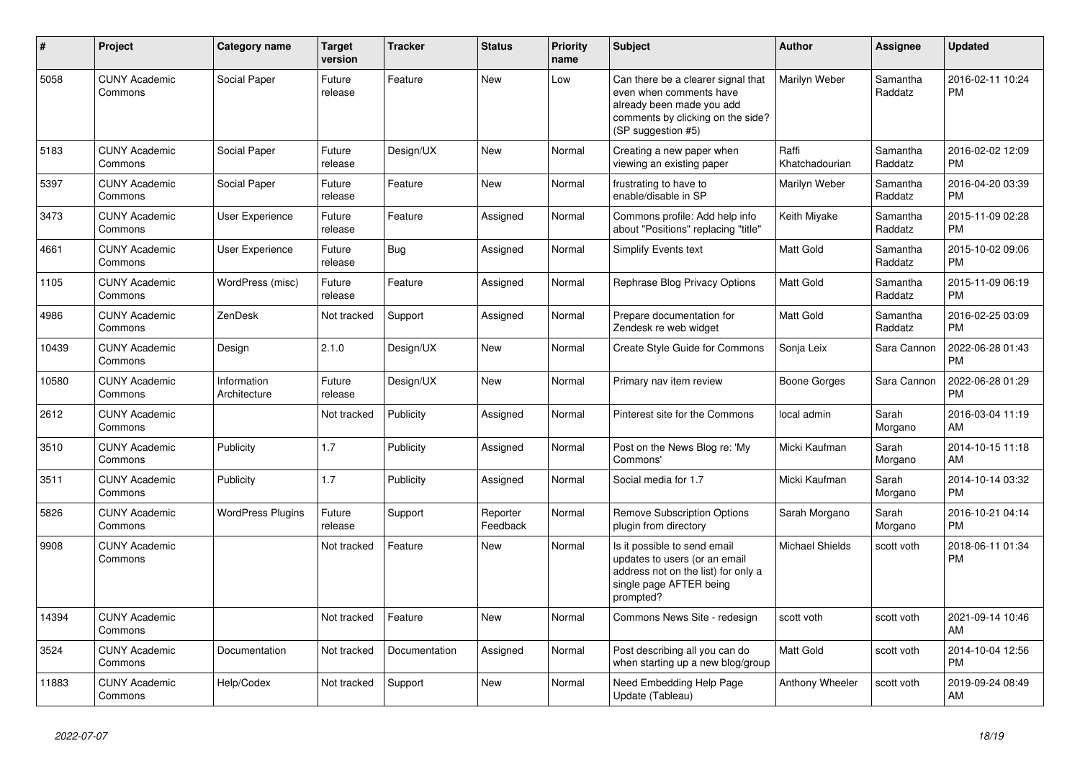| #     | <b>Project</b>                  | Category name               | <b>Target</b><br>version | <b>Tracker</b> | <b>Status</b>        | <b>Priority</b><br>name | <b>Subject</b>                                                                                                                                        | Author                  | Assignee            | <b>Updated</b>                |
|-------|---------------------------------|-----------------------------|--------------------------|----------------|----------------------|-------------------------|-------------------------------------------------------------------------------------------------------------------------------------------------------|-------------------------|---------------------|-------------------------------|
| 5058  | <b>CUNY Academic</b><br>Commons | Social Paper                | Future<br>release        | Feature        | <b>New</b>           | Low                     | Can there be a clearer signal that<br>even when comments have<br>already been made you add<br>comments by clicking on the side?<br>(SP suggestion #5) | Marilyn Weber           | Samantha<br>Raddatz | 2016-02-11 10:24<br><b>PM</b> |
| 5183  | <b>CUNY Academic</b><br>Commons | Social Paper                | Future<br>release        | Design/UX      | <b>New</b>           | Normal                  | Creating a new paper when<br>viewing an existing paper                                                                                                | Raffi<br>Khatchadourian | Samantha<br>Raddatz | 2016-02-02 12:09<br><b>PM</b> |
| 5397  | <b>CUNY Academic</b><br>Commons | Social Paper                | Future<br>release        | Feature        | New                  | Normal                  | frustrating to have to<br>enable/disable in SP                                                                                                        | Marilyn Weber           | Samantha<br>Raddatz | 2016-04-20 03:39<br><b>PM</b> |
| 3473  | <b>CUNY Academic</b><br>Commons | <b>User Experience</b>      | Future<br>release        | Feature        | Assigned             | Normal                  | Commons profile: Add help info<br>about "Positions" replacing "title"                                                                                 | Keith Miyake            | Samantha<br>Raddatz | 2015-11-09 02:28<br><b>PM</b> |
| 4661  | <b>CUNY Academic</b><br>Commons | User Experience             | Future<br>release        | Bug            | Assigned             | Normal                  | Simplify Events text                                                                                                                                  | <b>Matt Gold</b>        | Samantha<br>Raddatz | 2015-10-02 09:06<br><b>PM</b> |
| 1105  | <b>CUNY Academic</b><br>Commons | WordPress (misc)            | Future<br>release        | Feature        | Assigned             | Normal                  | Rephrase Blog Privacy Options                                                                                                                         | <b>Matt Gold</b>        | Samantha<br>Raddatz | 2015-11-09 06:19<br><b>PM</b> |
| 4986  | <b>CUNY Academic</b><br>Commons | ZenDesk                     | Not tracked              | Support        | Assigned             | Normal                  | Prepare documentation for<br>Zendesk re web widget                                                                                                    | <b>Matt Gold</b>        | Samantha<br>Raddatz | 2016-02-25 03:09<br><b>PM</b> |
| 10439 | <b>CUNY Academic</b><br>Commons | Design                      | 2.1.0                    | Design/UX      | New                  | Normal                  | Create Style Guide for Commons                                                                                                                        | Sonja Leix              | Sara Cannon         | 2022-06-28 01:43<br><b>PM</b> |
| 10580 | <b>CUNY Academic</b><br>Commons | Information<br>Architecture | Future<br>release        | Design/UX      | <b>New</b>           | Normal                  | Primary nav item review                                                                                                                               | Boone Gorges            | Sara Cannon         | 2022-06-28 01:29<br><b>PM</b> |
| 2612  | <b>CUNY Academic</b><br>Commons |                             | Not tracked              | Publicity      | Assigned             | Normal                  | Pinterest site for the Commons                                                                                                                        | local admin             | Sarah<br>Morgano    | 2016-03-04 11:19<br>AM        |
| 3510  | <b>CUNY Academic</b><br>Commons | Publicity                   | 1.7                      | Publicity      | Assigned             | Normal                  | Post on the News Blog re: 'My<br>Commons'                                                                                                             | Micki Kaufman           | Sarah<br>Morgano    | 2014-10-15 11:18<br>AM        |
| 3511  | <b>CUNY Academic</b><br>Commons | Publicity                   | 1.7                      | Publicity      | Assigned             | Normal                  | Social media for 1.7                                                                                                                                  | Micki Kaufman           | Sarah<br>Morgano    | 2014-10-14 03:32<br><b>PM</b> |
| 5826  | <b>CUNY Academic</b><br>Commons | <b>WordPress Plugins</b>    | Future<br>release        | Support        | Reporter<br>Feedback | Normal                  | <b>Remove Subscription Options</b><br>plugin from directory                                                                                           | Sarah Morgano           | Sarah<br>Morgano    | 2016-10-21 04:14<br><b>PM</b> |
| 9908  | <b>CUNY Academic</b><br>Commons |                             | Not tracked              | Feature        | <b>New</b>           | Normal                  | Is it possible to send email<br>updates to users (or an email<br>address not on the list) for only a<br>single page AFTER being<br>prompted?          | <b>Michael Shields</b>  | scott voth          | 2018-06-11 01:34<br><b>PM</b> |
| 14394 | <b>CUNY Academic</b><br>Commons |                             | Not tracked              | Feature        | New                  | Normal                  | Commons News Site - redesign                                                                                                                          | scott voth              | scott voth          | 2021-09-14 10:46<br>AM        |
| 3524  | <b>CUNY Academic</b><br>Commons | Documentation               | Not tracked              | Documentation  | Assigned             | Normal                  | Post describing all you can do<br>when starting up a new blog/group                                                                                   | <b>Matt Gold</b>        | scott voth          | 2014-10-04 12:56<br><b>PM</b> |
| 11883 | <b>CUNY Academic</b><br>Commons | Help/Codex                  | Not tracked              | Support        | <b>New</b>           | Normal                  | Need Embedding Help Page<br>Update (Tableau)                                                                                                          | Anthony Wheeler         | scott voth          | 2019-09-24 08:49<br>AM        |